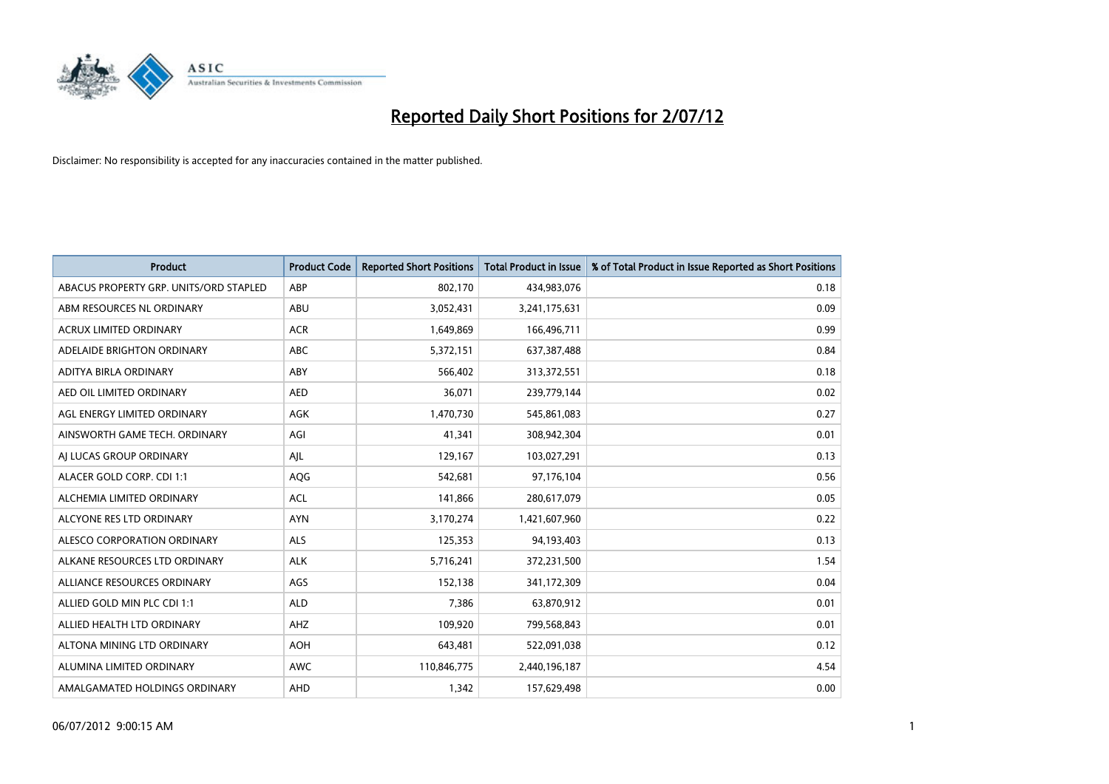

| <b>Product</b>                         | <b>Product Code</b> | <b>Reported Short Positions</b> | <b>Total Product in Issue</b> | % of Total Product in Issue Reported as Short Positions |
|----------------------------------------|---------------------|---------------------------------|-------------------------------|---------------------------------------------------------|
| ABACUS PROPERTY GRP. UNITS/ORD STAPLED | ABP                 | 802,170                         | 434,983,076                   | 0.18                                                    |
| ABM RESOURCES NL ORDINARY              | ABU                 | 3,052,431                       | 3,241,175,631                 | 0.09                                                    |
| <b>ACRUX LIMITED ORDINARY</b>          | <b>ACR</b>          | 1,649,869                       | 166,496,711                   | 0.99                                                    |
| ADELAIDE BRIGHTON ORDINARY             | <b>ABC</b>          | 5,372,151                       | 637, 387, 488                 | 0.84                                                    |
| <b>ADITYA BIRLA ORDINARY</b>           | ABY                 | 566.402                         | 313,372,551                   | 0.18                                                    |
| AED OIL LIMITED ORDINARY               | <b>AED</b>          | 36,071                          | 239,779,144                   | 0.02                                                    |
| AGL ENERGY LIMITED ORDINARY            | AGK                 | 1,470,730                       | 545,861,083                   | 0.27                                                    |
| AINSWORTH GAME TECH. ORDINARY          | AGI                 | 41,341                          | 308,942,304                   | 0.01                                                    |
| AJ LUCAS GROUP ORDINARY                | AJL                 | 129,167                         | 103,027,291                   | 0.13                                                    |
| ALACER GOLD CORP. CDI 1:1              | AQG                 | 542,681                         | 97,176,104                    | 0.56                                                    |
| ALCHEMIA LIMITED ORDINARY              | <b>ACL</b>          | 141,866                         | 280,617,079                   | 0.05                                                    |
| ALCYONE RES LTD ORDINARY               | <b>AYN</b>          | 3,170,274                       | 1,421,607,960                 | 0.22                                                    |
| <b>ALESCO CORPORATION ORDINARY</b>     | <b>ALS</b>          | 125,353                         | 94,193,403                    | 0.13                                                    |
| ALKANE RESOURCES LTD ORDINARY          | <b>ALK</b>          | 5,716,241                       | 372,231,500                   | 1.54                                                    |
| ALLIANCE RESOURCES ORDINARY            | AGS                 | 152,138                         | 341,172,309                   | 0.04                                                    |
| ALLIED GOLD MIN PLC CDI 1:1            | <b>ALD</b>          | 7,386                           | 63,870,912                    | 0.01                                                    |
| ALLIED HEALTH LTD ORDINARY             | AHZ                 | 109,920                         | 799,568,843                   | 0.01                                                    |
| ALTONA MINING LTD ORDINARY             | <b>AOH</b>          | 643,481                         | 522,091,038                   | 0.12                                                    |
| ALUMINA LIMITED ORDINARY               | <b>AWC</b>          | 110,846,775                     | 2,440,196,187                 | 4.54                                                    |
| AMALGAMATED HOLDINGS ORDINARY          | <b>AHD</b>          | 1,342                           | 157,629,498                   | 0.00                                                    |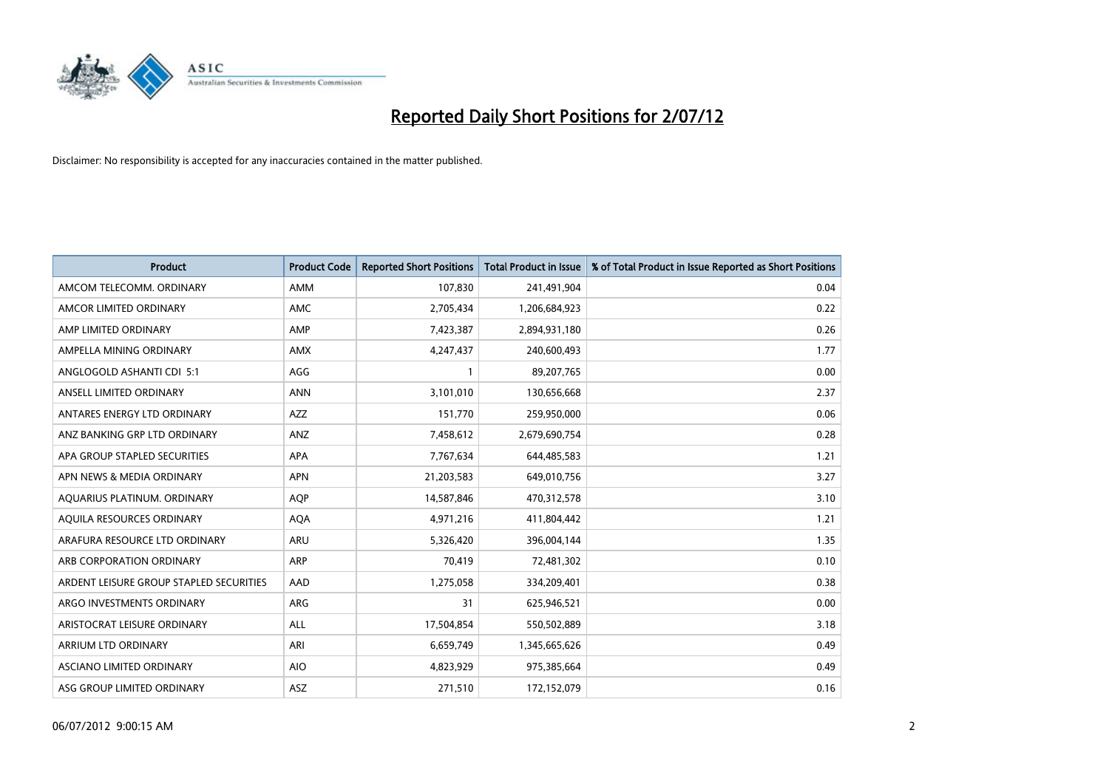

| <b>Product</b>                          | <b>Product Code</b> | <b>Reported Short Positions</b> | <b>Total Product in Issue</b> | % of Total Product in Issue Reported as Short Positions |
|-----------------------------------------|---------------------|---------------------------------|-------------------------------|---------------------------------------------------------|
| AMCOM TELECOMM, ORDINARY                | AMM                 | 107,830                         | 241,491,904                   | 0.04                                                    |
| AMCOR LIMITED ORDINARY                  | <b>AMC</b>          | 2,705,434                       | 1,206,684,923                 | 0.22                                                    |
| AMP LIMITED ORDINARY                    | AMP                 | 7,423,387                       | 2,894,931,180                 | 0.26                                                    |
| AMPELLA MINING ORDINARY                 | <b>AMX</b>          | 4,247,437                       | 240,600,493                   | 1.77                                                    |
| ANGLOGOLD ASHANTI CDI 5:1               | AGG                 |                                 | 89,207,765                    | 0.00                                                    |
| ANSELL LIMITED ORDINARY                 | <b>ANN</b>          | 3,101,010                       | 130,656,668                   | 2.37                                                    |
| ANTARES ENERGY LTD ORDINARY             | <b>AZZ</b>          | 151.770                         | 259,950,000                   | 0.06                                                    |
| ANZ BANKING GRP LTD ORDINARY            | ANZ                 | 7,458,612                       | 2,679,690,754                 | 0.28                                                    |
| APA GROUP STAPLED SECURITIES            | APA                 | 7,767,634                       | 644,485,583                   | 1.21                                                    |
| APN NEWS & MEDIA ORDINARY               | <b>APN</b>          | 21,203,583                      | 649,010,756                   | 3.27                                                    |
| AQUARIUS PLATINUM. ORDINARY             | <b>AOP</b>          | 14,587,846                      | 470,312,578                   | 3.10                                                    |
| AQUILA RESOURCES ORDINARY               | <b>AQA</b>          | 4,971,216                       | 411,804,442                   | 1.21                                                    |
| ARAFURA RESOURCE LTD ORDINARY           | ARU                 | 5,326,420                       | 396,004,144                   | 1.35                                                    |
| ARB CORPORATION ORDINARY                | <b>ARP</b>          | 70,419                          | 72,481,302                    | 0.10                                                    |
| ARDENT LEISURE GROUP STAPLED SECURITIES | AAD                 | 1,275,058                       | 334,209,401                   | 0.38                                                    |
| ARGO INVESTMENTS ORDINARY               | ARG                 | 31                              | 625,946,521                   | 0.00                                                    |
| ARISTOCRAT LEISURE ORDINARY             | <b>ALL</b>          | 17,504,854                      | 550,502,889                   | 3.18                                                    |
| ARRIUM LTD ORDINARY                     | ARI                 | 6,659,749                       | 1,345,665,626                 | 0.49                                                    |
| ASCIANO LIMITED ORDINARY                | <b>AIO</b>          | 4,823,929                       | 975,385,664                   | 0.49                                                    |
| ASG GROUP LIMITED ORDINARY              | <b>ASZ</b>          | 271,510                         | 172,152,079                   | 0.16                                                    |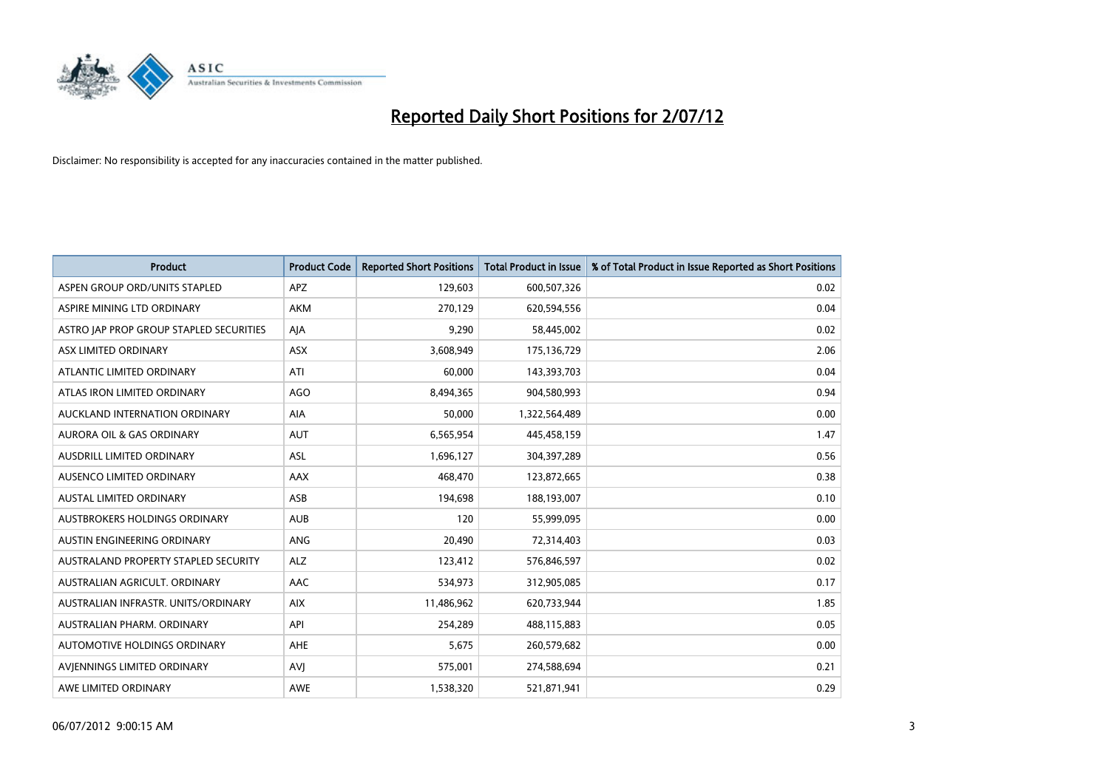

| <b>Product</b>                          | <b>Product Code</b> | <b>Reported Short Positions</b> | <b>Total Product in Issue</b> | % of Total Product in Issue Reported as Short Positions |
|-----------------------------------------|---------------------|---------------------------------|-------------------------------|---------------------------------------------------------|
| ASPEN GROUP ORD/UNITS STAPLED           | <b>APZ</b>          | 129,603                         | 600,507,326                   | 0.02                                                    |
| ASPIRE MINING LTD ORDINARY              | <b>AKM</b>          | 270,129                         | 620,594,556                   | 0.04                                                    |
| ASTRO JAP PROP GROUP STAPLED SECURITIES | AJA                 | 9,290                           | 58,445,002                    | 0.02                                                    |
| ASX LIMITED ORDINARY                    | ASX                 | 3,608,949                       | 175,136,729                   | 2.06                                                    |
| ATLANTIC LIMITED ORDINARY               | ATI                 | 60.000                          | 143,393,703                   | 0.04                                                    |
| ATLAS IRON LIMITED ORDINARY             | <b>AGO</b>          | 8,494,365                       | 904,580,993                   | 0.94                                                    |
| AUCKLAND INTERNATION ORDINARY           | <b>AIA</b>          | 50.000                          | 1,322,564,489                 | 0.00                                                    |
| <b>AURORA OIL &amp; GAS ORDINARY</b>    | <b>AUT</b>          | 6,565,954                       | 445,458,159                   | 1.47                                                    |
| AUSDRILL LIMITED ORDINARY               | ASL                 | 1,696,127                       | 304,397,289                   | 0.56                                                    |
| AUSENCO LIMITED ORDINARY                | <b>AAX</b>          | 468,470                         | 123,872,665                   | 0.38                                                    |
| AUSTAL LIMITED ORDINARY                 | ASB                 | 194,698                         | 188,193,007                   | 0.10                                                    |
| <b>AUSTBROKERS HOLDINGS ORDINARY</b>    | <b>AUB</b>          | 120                             | 55,999,095                    | 0.00                                                    |
| <b>AUSTIN ENGINEERING ORDINARY</b>      | <b>ANG</b>          | 20,490                          | 72,314,403                    | 0.03                                                    |
| AUSTRALAND PROPERTY STAPLED SECURITY    | <b>ALZ</b>          | 123,412                         | 576,846,597                   | 0.02                                                    |
| AUSTRALIAN AGRICULT, ORDINARY           | <b>AAC</b>          | 534,973                         | 312,905,085                   | 0.17                                                    |
| AUSTRALIAN INFRASTR. UNITS/ORDINARY     | <b>AIX</b>          | 11,486,962                      | 620,733,944                   | 1.85                                                    |
| AUSTRALIAN PHARM, ORDINARY              | API                 | 254,289                         | 488,115,883                   | 0.05                                                    |
| AUTOMOTIVE HOLDINGS ORDINARY            | <b>AHE</b>          | 5,675                           | 260,579,682                   | 0.00                                                    |
| AVIENNINGS LIMITED ORDINARY             | AVI                 | 575,001                         | 274,588,694                   | 0.21                                                    |
| AWE LIMITED ORDINARY                    | <b>AWE</b>          | 1,538,320                       | 521,871,941                   | 0.29                                                    |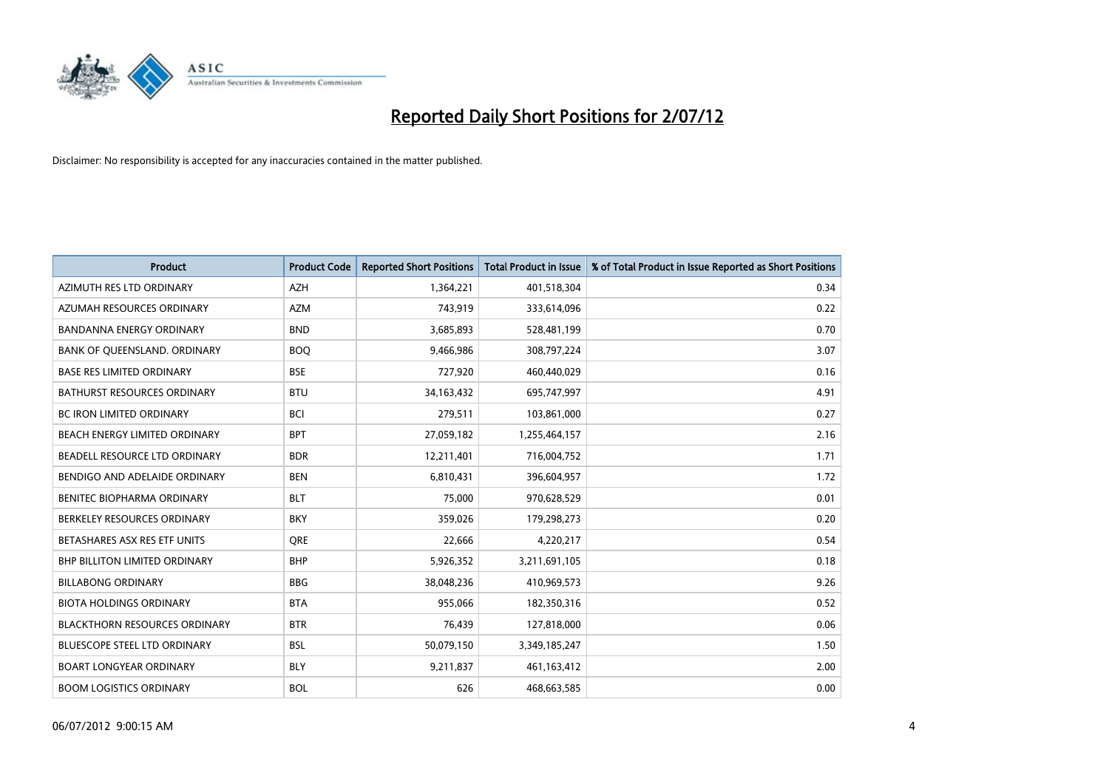

| <b>Product</b>                       | <b>Product Code</b> | <b>Reported Short Positions</b> | <b>Total Product in Issue</b> | % of Total Product in Issue Reported as Short Positions |
|--------------------------------------|---------------------|---------------------------------|-------------------------------|---------------------------------------------------------|
| AZIMUTH RES LTD ORDINARY             | <b>AZH</b>          | 1,364,221                       | 401,518,304                   | 0.34                                                    |
| AZUMAH RESOURCES ORDINARY            | <b>AZM</b>          | 743,919                         | 333,614,096                   | 0.22                                                    |
| <b>BANDANNA ENERGY ORDINARY</b>      | <b>BND</b>          | 3,685,893                       | 528,481,199                   | 0.70                                                    |
| BANK OF QUEENSLAND. ORDINARY         | <b>BOQ</b>          | 9,466,986                       | 308,797,224                   | 3.07                                                    |
| <b>BASE RES LIMITED ORDINARY</b>     | <b>BSE</b>          | 727,920                         | 460,440,029                   | 0.16                                                    |
| <b>BATHURST RESOURCES ORDINARY</b>   | <b>BTU</b>          | 34,163,432                      | 695,747,997                   | 4.91                                                    |
| <b>BC IRON LIMITED ORDINARY</b>      | <b>BCI</b>          | 279,511                         | 103,861,000                   | 0.27                                                    |
| BEACH ENERGY LIMITED ORDINARY        | <b>BPT</b>          | 27,059,182                      | 1,255,464,157                 | 2.16                                                    |
| BEADELL RESOURCE LTD ORDINARY        | <b>BDR</b>          | 12,211,401                      | 716,004,752                   | 1.71                                                    |
| BENDIGO AND ADELAIDE ORDINARY        | <b>BEN</b>          | 6,810,431                       | 396,604,957                   | 1.72                                                    |
| BENITEC BIOPHARMA ORDINARY           | <b>BLT</b>          | 75,000                          | 970,628,529                   | 0.01                                                    |
| BERKELEY RESOURCES ORDINARY          | <b>BKY</b>          | 359,026                         | 179,298,273                   | 0.20                                                    |
| BETASHARES ASX RES ETF UNITS         | <b>ORE</b>          | 22,666                          | 4,220,217                     | 0.54                                                    |
| <b>BHP BILLITON LIMITED ORDINARY</b> | <b>BHP</b>          | 5,926,352                       | 3,211,691,105                 | 0.18                                                    |
| <b>BILLABONG ORDINARY</b>            | <b>BBG</b>          | 38,048,236                      | 410,969,573                   | 9.26                                                    |
| <b>BIOTA HOLDINGS ORDINARY</b>       | <b>BTA</b>          | 955,066                         | 182,350,316                   | 0.52                                                    |
| <b>BLACKTHORN RESOURCES ORDINARY</b> | <b>BTR</b>          | 76,439                          | 127,818,000                   | 0.06                                                    |
| BLUESCOPE STEEL LTD ORDINARY         | <b>BSL</b>          | 50,079,150                      | 3,349,185,247                 | 1.50                                                    |
| <b>BOART LONGYEAR ORDINARY</b>       | <b>BLY</b>          | 9,211,837                       | 461,163,412                   | 2.00                                                    |
| <b>BOOM LOGISTICS ORDINARY</b>       | <b>BOL</b>          | 626                             | 468,663,585                   | 0.00                                                    |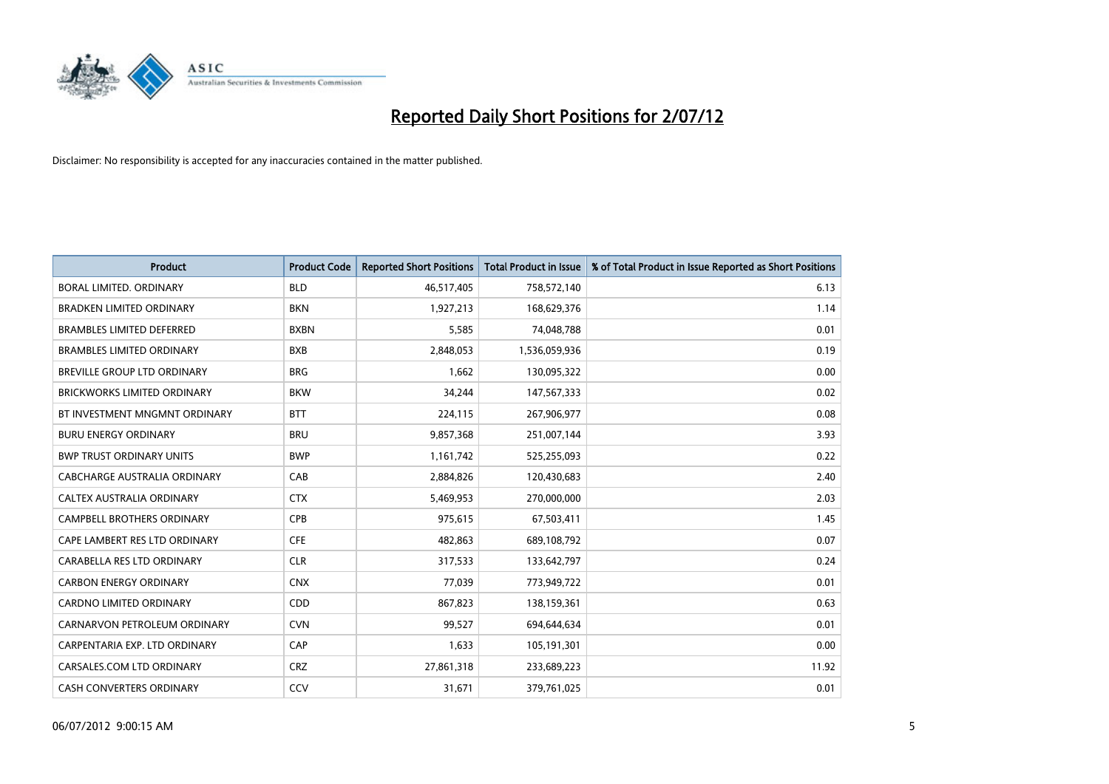

| <b>Product</b>                     | <b>Product Code</b> | <b>Reported Short Positions</b> | <b>Total Product in Issue</b> | % of Total Product in Issue Reported as Short Positions |
|------------------------------------|---------------------|---------------------------------|-------------------------------|---------------------------------------------------------|
| <b>BORAL LIMITED, ORDINARY</b>     | <b>BLD</b>          | 46,517,405                      | 758,572,140                   | 6.13                                                    |
| <b>BRADKEN LIMITED ORDINARY</b>    | <b>BKN</b>          | 1,927,213                       | 168,629,376                   | 1.14                                                    |
| <b>BRAMBLES LIMITED DEFERRED</b>   | <b>BXBN</b>         | 5,585                           | 74,048,788                    | 0.01                                                    |
| <b>BRAMBLES LIMITED ORDINARY</b>   | <b>BXB</b>          | 2,848,053                       | 1,536,059,936                 | 0.19                                                    |
| <b>BREVILLE GROUP LTD ORDINARY</b> | <b>BRG</b>          | 1,662                           | 130,095,322                   | 0.00                                                    |
| <b>BRICKWORKS LIMITED ORDINARY</b> | <b>BKW</b>          | 34,244                          | 147,567,333                   | 0.02                                                    |
| BT INVESTMENT MNGMNT ORDINARY      | <b>BTT</b>          | 224,115                         | 267,906,977                   | 0.08                                                    |
| <b>BURU ENERGY ORDINARY</b>        | <b>BRU</b>          | 9,857,368                       | 251,007,144                   | 3.93                                                    |
| <b>BWP TRUST ORDINARY UNITS</b>    | <b>BWP</b>          | 1,161,742                       | 525,255,093                   | 0.22                                                    |
| CABCHARGE AUSTRALIA ORDINARY       | CAB                 | 2,884,826                       | 120,430,683                   | 2.40                                                    |
| CALTEX AUSTRALIA ORDINARY          | <b>CTX</b>          | 5,469,953                       | 270,000,000                   | 2.03                                                    |
| <b>CAMPBELL BROTHERS ORDINARY</b>  | CPB                 | 975,615                         | 67,503,411                    | 1.45                                                    |
| CAPE LAMBERT RES LTD ORDINARY      | <b>CFE</b>          | 482,863                         | 689,108,792                   | 0.07                                                    |
| CARABELLA RES LTD ORDINARY         | <b>CLR</b>          | 317,533                         | 133,642,797                   | 0.24                                                    |
| <b>CARBON ENERGY ORDINARY</b>      | <b>CNX</b>          | 77,039                          | 773,949,722                   | 0.01                                                    |
| CARDNO LIMITED ORDINARY            | CDD                 | 867,823                         | 138,159,361                   | 0.63                                                    |
| CARNARVON PETROLEUM ORDINARY       | <b>CVN</b>          | 99,527                          | 694,644,634                   | 0.01                                                    |
| CARPENTARIA EXP. LTD ORDINARY      | CAP                 | 1,633                           | 105,191,301                   | 0.00                                                    |
| CARSALES.COM LTD ORDINARY          | <b>CRZ</b>          | 27,861,318                      | 233,689,223                   | 11.92                                                   |
| <b>CASH CONVERTERS ORDINARY</b>    | CCV                 | 31,671                          | 379,761,025                   | 0.01                                                    |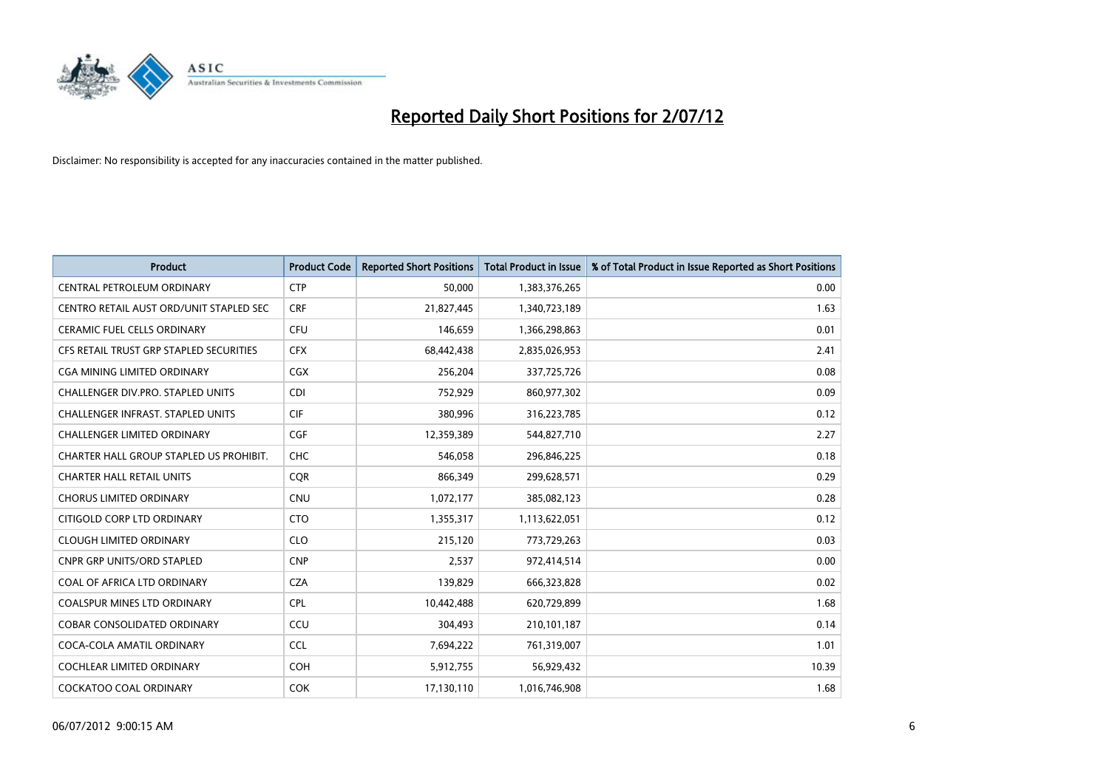

| <b>Product</b>                           | <b>Product Code</b> | <b>Reported Short Positions</b> | <b>Total Product in Issue</b> | % of Total Product in Issue Reported as Short Positions |
|------------------------------------------|---------------------|---------------------------------|-------------------------------|---------------------------------------------------------|
| <b>CENTRAL PETROLEUM ORDINARY</b>        | <b>CTP</b>          | 50,000                          | 1,383,376,265                 | 0.00                                                    |
| CENTRO RETAIL AUST ORD/UNIT STAPLED SEC  | <b>CRF</b>          | 21,827,445                      | 1,340,723,189                 | 1.63                                                    |
| <b>CERAMIC FUEL CELLS ORDINARY</b>       | <b>CFU</b>          | 146,659                         | 1,366,298,863                 | 0.01                                                    |
| CFS RETAIL TRUST GRP STAPLED SECURITIES  | <b>CFX</b>          | 68,442,438                      | 2,835,026,953                 | 2.41                                                    |
| CGA MINING LIMITED ORDINARY              | <b>CGX</b>          | 256,204                         | 337,725,726                   | 0.08                                                    |
| <b>CHALLENGER DIV.PRO. STAPLED UNITS</b> | <b>CDI</b>          | 752,929                         | 860,977,302                   | 0.09                                                    |
| <b>CHALLENGER INFRAST, STAPLED UNITS</b> | <b>CIF</b>          | 380,996                         | 316,223,785                   | 0.12                                                    |
| <b>CHALLENGER LIMITED ORDINARY</b>       | <b>CGF</b>          | 12,359,389                      | 544,827,710                   | 2.27                                                    |
| CHARTER HALL GROUP STAPLED US PROHIBIT.  | <b>CHC</b>          | 546,058                         | 296,846,225                   | 0.18                                                    |
| <b>CHARTER HALL RETAIL UNITS</b>         | <b>COR</b>          | 866,349                         | 299,628,571                   | 0.29                                                    |
| <b>CHORUS LIMITED ORDINARY</b>           | <b>CNU</b>          | 1,072,177                       | 385,082,123                   | 0.28                                                    |
| CITIGOLD CORP LTD ORDINARY               | <b>CTO</b>          | 1,355,317                       | 1,113,622,051                 | 0.12                                                    |
| <b>CLOUGH LIMITED ORDINARY</b>           | <b>CLO</b>          | 215,120                         | 773,729,263                   | 0.03                                                    |
| <b>CNPR GRP UNITS/ORD STAPLED</b>        | <b>CNP</b>          | 2.537                           | 972,414,514                   | 0.00                                                    |
| COAL OF AFRICA LTD ORDINARY              | <b>CZA</b>          | 139,829                         | 666,323,828                   | 0.02                                                    |
| <b>COALSPUR MINES LTD ORDINARY</b>       | <b>CPL</b>          | 10,442,488                      | 620,729,899                   | 1.68                                                    |
| <b>COBAR CONSOLIDATED ORDINARY</b>       | CCU                 | 304,493                         | 210,101,187                   | 0.14                                                    |
| COCA-COLA AMATIL ORDINARY                | <b>CCL</b>          | 7,694,222                       | 761,319,007                   | 1.01                                                    |
| <b>COCHLEAR LIMITED ORDINARY</b>         | <b>COH</b>          | 5,912,755                       | 56,929,432                    | 10.39                                                   |
| <b>COCKATOO COAL ORDINARY</b>            | <b>COK</b>          | 17,130,110                      | 1,016,746,908                 | 1.68                                                    |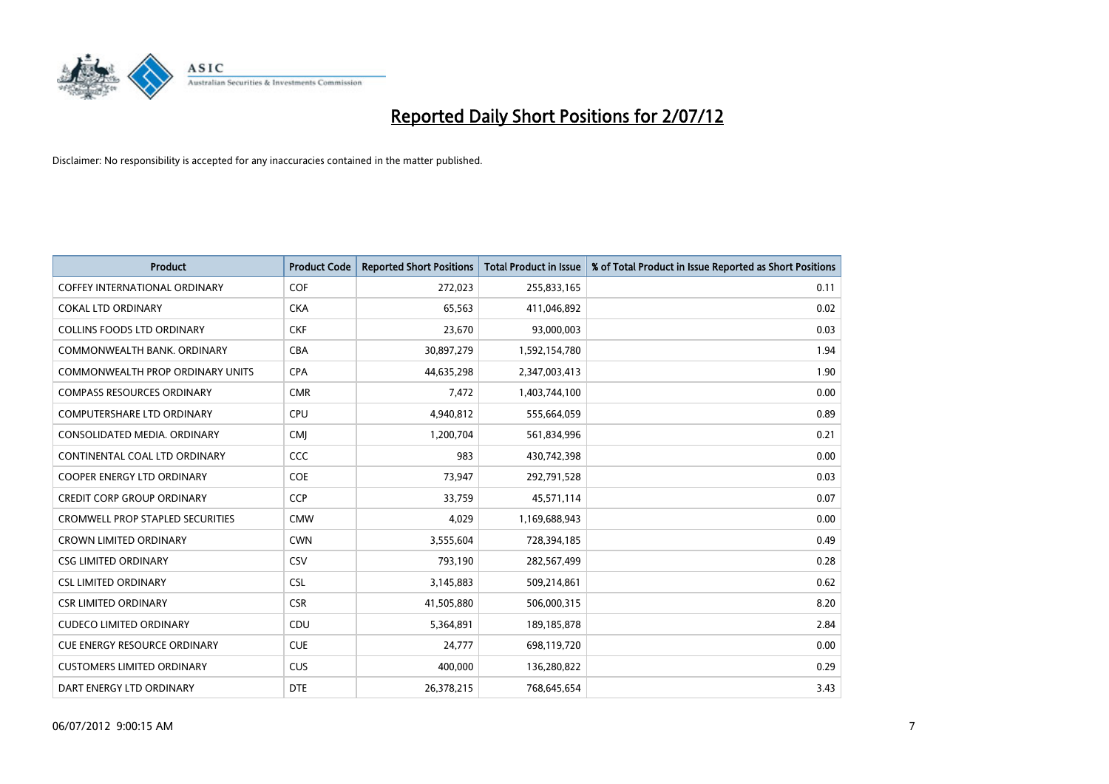

| <b>Product</b>                          | <b>Product Code</b> | <b>Reported Short Positions</b> | <b>Total Product in Issue</b> | % of Total Product in Issue Reported as Short Positions |
|-----------------------------------------|---------------------|---------------------------------|-------------------------------|---------------------------------------------------------|
| <b>COFFEY INTERNATIONAL ORDINARY</b>    | <b>COF</b>          | 272,023                         | 255,833,165                   | 0.11                                                    |
| <b>COKAL LTD ORDINARY</b>               | <b>CKA</b>          | 65,563                          | 411,046,892                   | 0.02                                                    |
| <b>COLLINS FOODS LTD ORDINARY</b>       | <b>CKF</b>          | 23,670                          | 93,000,003                    | 0.03                                                    |
| COMMONWEALTH BANK, ORDINARY             | <b>CBA</b>          | 30,897,279                      | 1,592,154,780                 | 1.94                                                    |
| <b>COMMONWEALTH PROP ORDINARY UNITS</b> | <b>CPA</b>          | 44,635,298                      | 2,347,003,413                 | 1.90                                                    |
| <b>COMPASS RESOURCES ORDINARY</b>       | <b>CMR</b>          | 7,472                           | 1,403,744,100                 | 0.00                                                    |
| <b>COMPUTERSHARE LTD ORDINARY</b>       | <b>CPU</b>          | 4,940,812                       | 555,664,059                   | 0.89                                                    |
| CONSOLIDATED MEDIA, ORDINARY            | <b>CMI</b>          | 1,200,704                       | 561,834,996                   | 0.21                                                    |
| CONTINENTAL COAL LTD ORDINARY           | CCC                 | 983                             | 430,742,398                   | 0.00                                                    |
| COOPER ENERGY LTD ORDINARY              | <b>COE</b>          | 73,947                          | 292,791,528                   | 0.03                                                    |
| <b>CREDIT CORP GROUP ORDINARY</b>       | <b>CCP</b>          | 33,759                          | 45,571,114                    | 0.07                                                    |
| <b>CROMWELL PROP STAPLED SECURITIES</b> | <b>CMW</b>          | 4,029                           | 1,169,688,943                 | 0.00                                                    |
| <b>CROWN LIMITED ORDINARY</b>           | <b>CWN</b>          | 3,555,604                       | 728,394,185                   | 0.49                                                    |
| <b>CSG LIMITED ORDINARY</b>             | CSV                 | 793.190                         | 282,567,499                   | 0.28                                                    |
| <b>CSL LIMITED ORDINARY</b>             | <b>CSL</b>          | 3,145,883                       | 509,214,861                   | 0.62                                                    |
| <b>CSR LIMITED ORDINARY</b>             | <b>CSR</b>          | 41,505,880                      | 506,000,315                   | 8.20                                                    |
| <b>CUDECO LIMITED ORDINARY</b>          | CDU                 | 5,364,891                       | 189, 185, 878                 | 2.84                                                    |
| <b>CUE ENERGY RESOURCE ORDINARY</b>     | <b>CUE</b>          | 24,777                          | 698,119,720                   | 0.00                                                    |
| <b>CUSTOMERS LIMITED ORDINARY</b>       | <b>CUS</b>          | 400,000                         | 136,280,822                   | 0.29                                                    |
| DART ENERGY LTD ORDINARY                | <b>DTE</b>          | 26,378,215                      | 768,645,654                   | 3.43                                                    |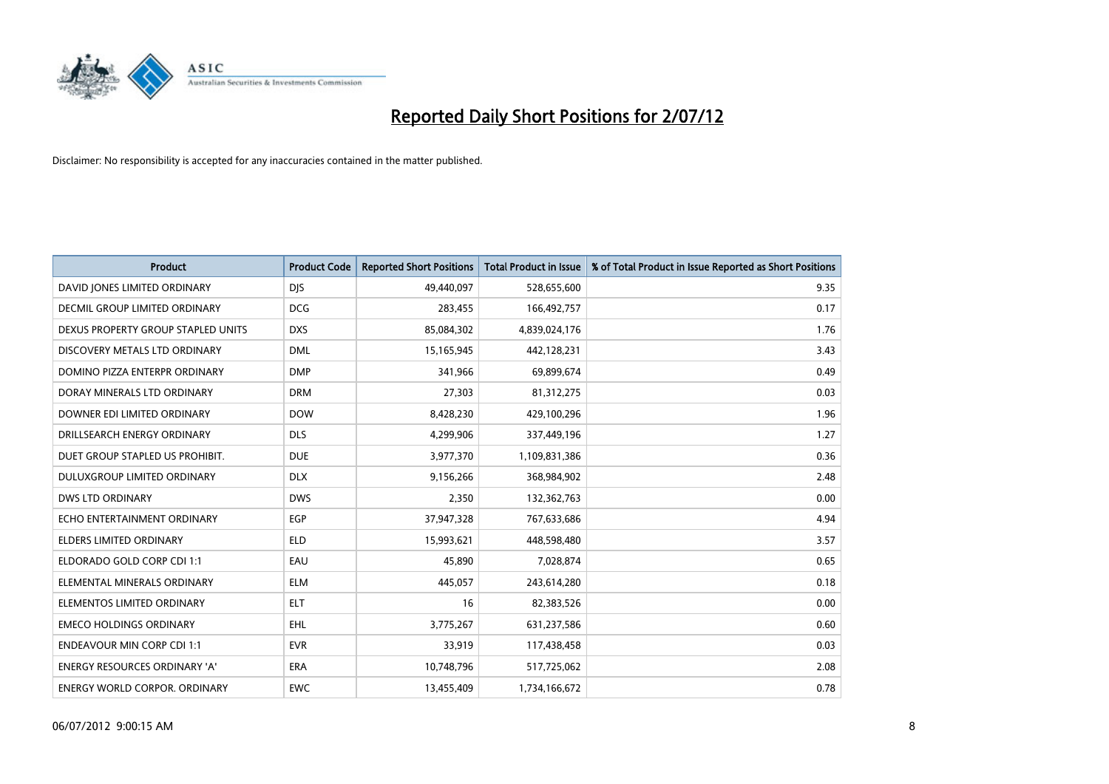

| <b>Product</b>                       | <b>Product Code</b> | <b>Reported Short Positions</b> | <b>Total Product in Issue</b> | % of Total Product in Issue Reported as Short Positions |
|--------------------------------------|---------------------|---------------------------------|-------------------------------|---------------------------------------------------------|
| DAVID JONES LIMITED ORDINARY         | <b>DJS</b>          | 49,440,097                      | 528,655,600                   | 9.35                                                    |
| DECMIL GROUP LIMITED ORDINARY        | <b>DCG</b>          | 283,455                         | 166,492,757                   | 0.17                                                    |
| DEXUS PROPERTY GROUP STAPLED UNITS   | <b>DXS</b>          | 85,084,302                      | 4,839,024,176                 | 1.76                                                    |
| DISCOVERY METALS LTD ORDINARY        | <b>DML</b>          | 15,165,945                      | 442,128,231                   | 3.43                                                    |
| DOMINO PIZZA ENTERPR ORDINARY        | <b>DMP</b>          | 341,966                         | 69,899,674                    | 0.49                                                    |
| DORAY MINERALS LTD ORDINARY          | <b>DRM</b>          | 27,303                          | 81,312,275                    | 0.03                                                    |
| DOWNER EDI LIMITED ORDINARY          | <b>DOW</b>          | 8,428,230                       | 429,100,296                   | 1.96                                                    |
| DRILLSEARCH ENERGY ORDINARY          | <b>DLS</b>          | 4,299,906                       | 337,449,196                   | 1.27                                                    |
| DUET GROUP STAPLED US PROHIBIT.      | <b>DUE</b>          | 3,977,370                       | 1,109,831,386                 | 0.36                                                    |
| DULUXGROUP LIMITED ORDINARY          | <b>DLX</b>          | 9,156,266                       | 368,984,902                   | 2.48                                                    |
| DWS LTD ORDINARY                     | <b>DWS</b>          | 2,350                           | 132,362,763                   | 0.00                                                    |
| ECHO ENTERTAINMENT ORDINARY          | EGP                 | 37,947,328                      | 767,633,686                   | 4.94                                                    |
| ELDERS LIMITED ORDINARY              | <b>ELD</b>          | 15,993,621                      | 448,598,480                   | 3.57                                                    |
| ELDORADO GOLD CORP CDI 1:1           | EAU                 | 45,890                          | 7,028,874                     | 0.65                                                    |
| ELEMENTAL MINERALS ORDINARY          | <b>ELM</b>          | 445,057                         | 243,614,280                   | 0.18                                                    |
| ELEMENTOS LIMITED ORDINARY           | <b>ELT</b>          | 16                              | 82,383,526                    | 0.00                                                    |
| <b>EMECO HOLDINGS ORDINARY</b>       | <b>EHL</b>          | 3,775,267                       | 631,237,586                   | 0.60                                                    |
| <b>ENDEAVOUR MIN CORP CDI 1:1</b>    | <b>EVR</b>          | 33,919                          | 117,438,458                   | 0.03                                                    |
| <b>ENERGY RESOURCES ORDINARY 'A'</b> | <b>ERA</b>          | 10,748,796                      | 517,725,062                   | 2.08                                                    |
| ENERGY WORLD CORPOR, ORDINARY        | <b>EWC</b>          | 13,455,409                      | 1,734,166,672                 | 0.78                                                    |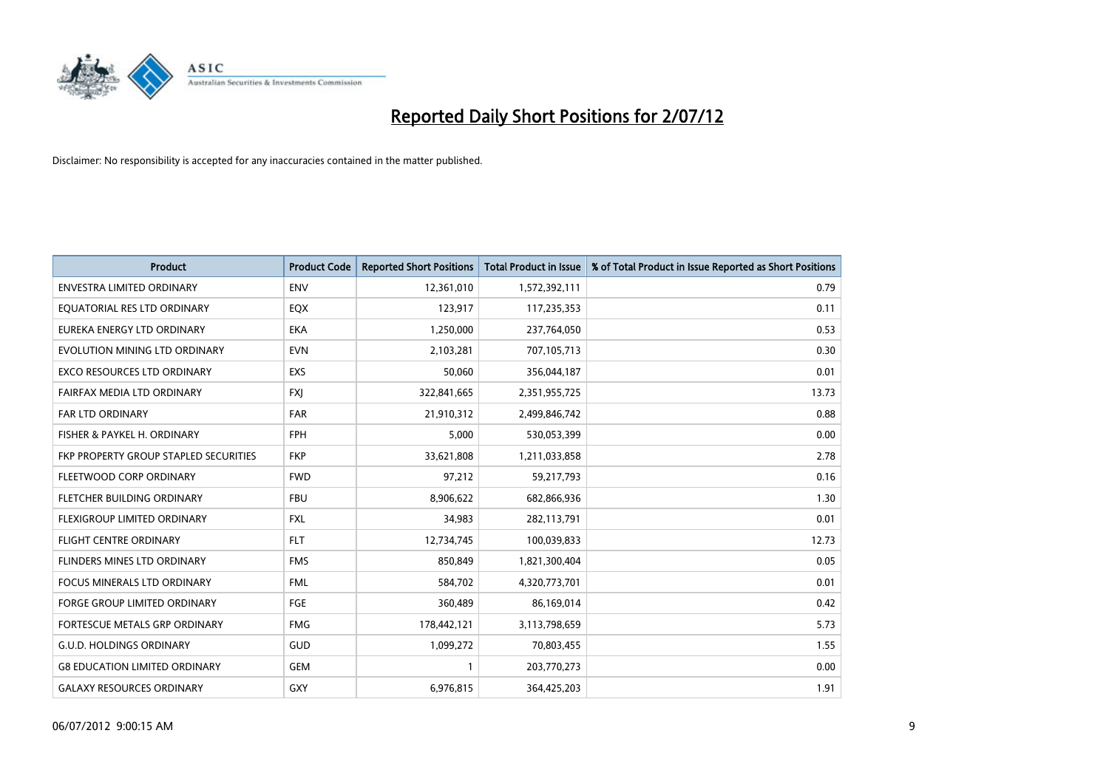

| <b>Product</b>                               | <b>Product Code</b> | <b>Reported Short Positions</b> | <b>Total Product in Issue</b> | % of Total Product in Issue Reported as Short Positions |
|----------------------------------------------|---------------------|---------------------------------|-------------------------------|---------------------------------------------------------|
| <b>ENVESTRA LIMITED ORDINARY</b>             | <b>ENV</b>          | 12,361,010                      | 1,572,392,111                 | 0.79                                                    |
| EQUATORIAL RES LTD ORDINARY                  | EQX                 | 123,917                         | 117,235,353                   | 0.11                                                    |
| EUREKA ENERGY LTD ORDINARY                   | <b>EKA</b>          | 1,250,000                       | 237,764,050                   | 0.53                                                    |
| EVOLUTION MINING LTD ORDINARY                | <b>EVN</b>          | 2,103,281                       | 707,105,713                   | 0.30                                                    |
| <b>EXCO RESOURCES LTD ORDINARY</b>           | <b>EXS</b>          | 50,060                          | 356,044,187                   | 0.01                                                    |
| FAIRFAX MEDIA LTD ORDINARY                   | <b>FXI</b>          | 322,841,665                     | 2,351,955,725                 | 13.73                                                   |
| FAR LTD ORDINARY                             | <b>FAR</b>          | 21,910,312                      | 2,499,846,742                 | 0.88                                                    |
| FISHER & PAYKEL H. ORDINARY                  | <b>FPH</b>          | 5,000                           | 530,053,399                   | 0.00                                                    |
| <b>FKP PROPERTY GROUP STAPLED SECURITIES</b> | <b>FKP</b>          | 33,621,808                      | 1,211,033,858                 | 2.78                                                    |
| FLEETWOOD CORP ORDINARY                      | <b>FWD</b>          | 97,212                          | 59,217,793                    | 0.16                                                    |
| FLETCHER BUILDING ORDINARY                   | <b>FBU</b>          | 8,906,622                       | 682,866,936                   | 1.30                                                    |
| FLEXIGROUP LIMITED ORDINARY                  | <b>FXL</b>          | 34,983                          | 282,113,791                   | 0.01                                                    |
| <b>FLIGHT CENTRE ORDINARY</b>                | <b>FLT</b>          | 12,734,745                      | 100,039,833                   | 12.73                                                   |
| <b>FLINDERS MINES LTD ORDINARY</b>           | <b>FMS</b>          | 850,849                         | 1,821,300,404                 | 0.05                                                    |
| <b>FOCUS MINERALS LTD ORDINARY</b>           | <b>FML</b>          | 584,702                         | 4,320,773,701                 | 0.01                                                    |
| <b>FORGE GROUP LIMITED ORDINARY</b>          | FGE                 | 360,489                         | 86,169,014                    | 0.42                                                    |
| FORTESCUE METALS GRP ORDINARY                | <b>FMG</b>          | 178,442,121                     | 3,113,798,659                 | 5.73                                                    |
| <b>G.U.D. HOLDINGS ORDINARY</b>              | <b>GUD</b>          | 1,099,272                       | 70,803,455                    | 1.55                                                    |
| <b>G8 EDUCATION LIMITED ORDINARY</b>         | GEM                 |                                 | 203,770,273                   | 0.00                                                    |
| <b>GALAXY RESOURCES ORDINARY</b>             | <b>GXY</b>          | 6,976,815                       | 364,425,203                   | 1.91                                                    |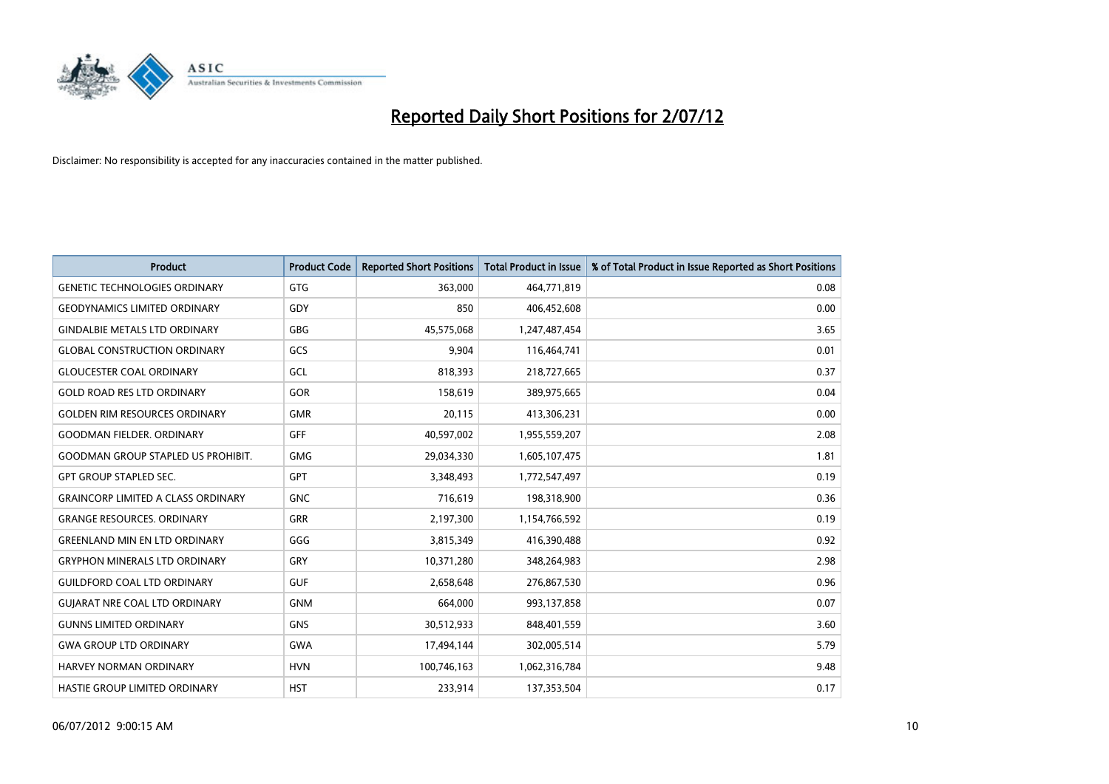

| <b>Product</b>                            | <b>Product Code</b> | <b>Reported Short Positions</b> | <b>Total Product in Issue</b> | % of Total Product in Issue Reported as Short Positions |
|-------------------------------------------|---------------------|---------------------------------|-------------------------------|---------------------------------------------------------|
| <b>GENETIC TECHNOLOGIES ORDINARY</b>      | <b>GTG</b>          | 363,000                         | 464,771,819                   | 0.08                                                    |
| <b>GEODYNAMICS LIMITED ORDINARY</b>       | GDY                 | 850                             | 406,452,608                   | 0.00                                                    |
| <b>GINDALBIE METALS LTD ORDINARY</b>      | GBG                 | 45,575,068                      | 1,247,487,454                 | 3.65                                                    |
| <b>GLOBAL CONSTRUCTION ORDINARY</b>       | GCS                 | 9,904                           | 116,464,741                   | 0.01                                                    |
| <b>GLOUCESTER COAL ORDINARY</b>           | GCL                 | 818,393                         | 218,727,665                   | 0.37                                                    |
| <b>GOLD ROAD RES LTD ORDINARY</b>         | GOR                 | 158,619                         | 389,975,665                   | 0.04                                                    |
| <b>GOLDEN RIM RESOURCES ORDINARY</b>      | <b>GMR</b>          | 20,115                          | 413,306,231                   | 0.00                                                    |
| <b>GOODMAN FIELDER, ORDINARY</b>          | <b>GFF</b>          | 40,597,002                      | 1,955,559,207                 | 2.08                                                    |
| <b>GOODMAN GROUP STAPLED US PROHIBIT.</b> | <b>GMG</b>          | 29,034,330                      | 1,605,107,475                 | 1.81                                                    |
| <b>GPT GROUP STAPLED SEC.</b>             | <b>GPT</b>          | 3,348,493                       | 1,772,547,497                 | 0.19                                                    |
| <b>GRAINCORP LIMITED A CLASS ORDINARY</b> | <b>GNC</b>          | 716,619                         | 198,318,900                   | 0.36                                                    |
| <b>GRANGE RESOURCES, ORDINARY</b>         | <b>GRR</b>          | 2,197,300                       | 1,154,766,592                 | 0.19                                                    |
| <b>GREENLAND MIN EN LTD ORDINARY</b>      | GGG                 | 3,815,349                       | 416,390,488                   | 0.92                                                    |
| <b>GRYPHON MINERALS LTD ORDINARY</b>      | GRY                 | 10,371,280                      | 348,264,983                   | 2.98                                                    |
| <b>GUILDFORD COAL LTD ORDINARY</b>        | <b>GUF</b>          | 2,658,648                       | 276,867,530                   | 0.96                                                    |
| <b>GUIARAT NRE COAL LTD ORDINARY</b>      | <b>GNM</b>          | 664,000                         | 993,137,858                   | 0.07                                                    |
| <b>GUNNS LIMITED ORDINARY</b>             | <b>GNS</b>          | 30,512,933                      | 848,401,559                   | 3.60                                                    |
| <b>GWA GROUP LTD ORDINARY</b>             | <b>GWA</b>          | 17,494,144                      | 302,005,514                   | 5.79                                                    |
| HARVEY NORMAN ORDINARY                    | <b>HVN</b>          | 100,746,163                     | 1,062,316,784                 | 9.48                                                    |
| <b>HASTIE GROUP LIMITED ORDINARY</b>      | <b>HST</b>          | 233.914                         | 137,353,504                   | 0.17                                                    |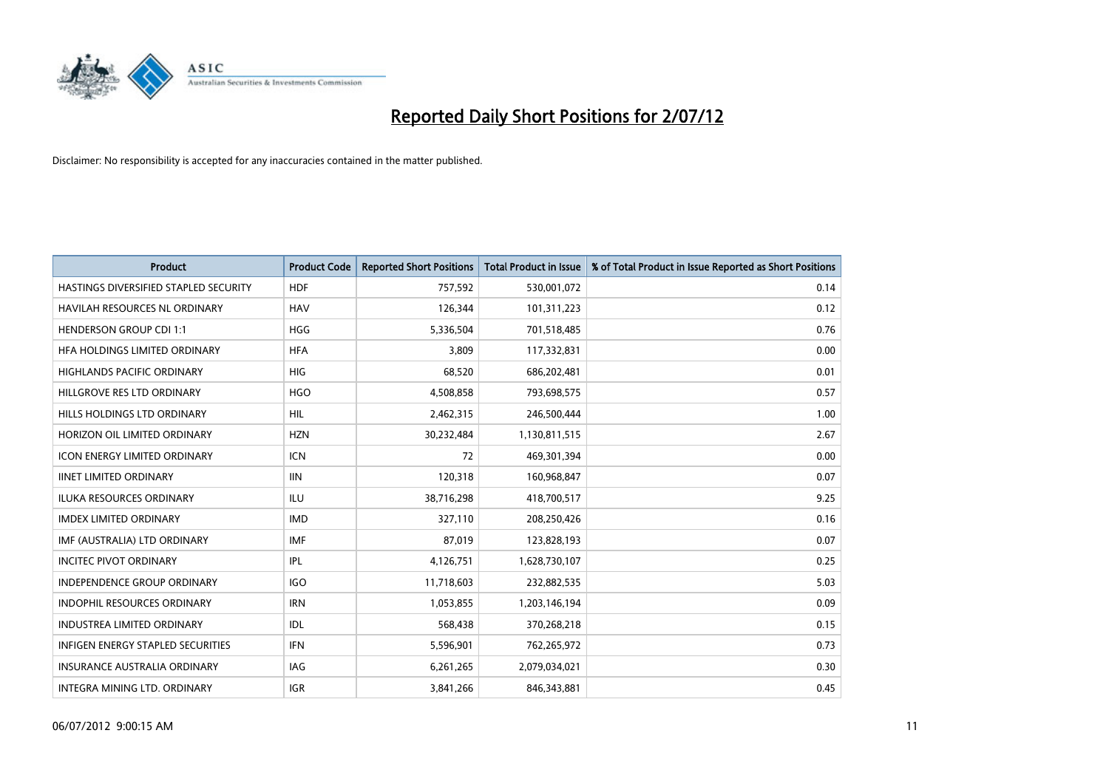

| <b>Product</b>                        | <b>Product Code</b> | <b>Reported Short Positions</b> | <b>Total Product in Issue</b> | % of Total Product in Issue Reported as Short Positions |
|---------------------------------------|---------------------|---------------------------------|-------------------------------|---------------------------------------------------------|
| HASTINGS DIVERSIFIED STAPLED SECURITY | <b>HDF</b>          | 757,592                         | 530,001,072                   | 0.14                                                    |
| HAVILAH RESOURCES NL ORDINARY         | <b>HAV</b>          | 126,344                         | 101,311,223                   | 0.12                                                    |
| <b>HENDERSON GROUP CDI 1:1</b>        | <b>HGG</b>          | 5,336,504                       | 701,518,485                   | 0.76                                                    |
| HFA HOLDINGS LIMITED ORDINARY         | <b>HFA</b>          | 3,809                           | 117,332,831                   | 0.00                                                    |
| <b>HIGHLANDS PACIFIC ORDINARY</b>     | <b>HIG</b>          | 68,520                          | 686,202,481                   | 0.01                                                    |
| HILLGROVE RES LTD ORDINARY            | <b>HGO</b>          | 4,508,858                       | 793,698,575                   | 0.57                                                    |
| HILLS HOLDINGS LTD ORDINARY           | <b>HIL</b>          | 2,462,315                       | 246,500,444                   | 1.00                                                    |
| HORIZON OIL LIMITED ORDINARY          | <b>HZN</b>          | 30,232,484                      | 1,130,811,515                 | 2.67                                                    |
| ICON ENERGY LIMITED ORDINARY          | <b>ICN</b>          | 72                              | 469,301,394                   | 0.00                                                    |
| <b>IINET LIMITED ORDINARY</b>         | <b>IIN</b>          | 120,318                         | 160,968,847                   | 0.07                                                    |
| ILUKA RESOURCES ORDINARY              | ILU                 | 38,716,298                      | 418,700,517                   | 9.25                                                    |
| <b>IMDEX LIMITED ORDINARY</b>         | <b>IMD</b>          | 327,110                         | 208,250,426                   | 0.16                                                    |
| IMF (AUSTRALIA) LTD ORDINARY          | <b>IMF</b>          | 87,019                          | 123,828,193                   | 0.07                                                    |
| <b>INCITEC PIVOT ORDINARY</b>         | IPL                 | 4,126,751                       | 1,628,730,107                 | 0.25                                                    |
| <b>INDEPENDENCE GROUP ORDINARY</b>    | <b>IGO</b>          | 11,718,603                      | 232,882,535                   | 5.03                                                    |
| INDOPHIL RESOURCES ORDINARY           | <b>IRN</b>          | 1,053,855                       | 1,203,146,194                 | 0.09                                                    |
| <b>INDUSTREA LIMITED ORDINARY</b>     | IDL                 | 568,438                         | 370,268,218                   | 0.15                                                    |
| INFIGEN ENERGY STAPLED SECURITIES     | <b>IFN</b>          | 5,596,901                       | 762,265,972                   | 0.73                                                    |
| <b>INSURANCE AUSTRALIA ORDINARY</b>   | IAG                 | 6,261,265                       | 2,079,034,021                 | 0.30                                                    |
| INTEGRA MINING LTD, ORDINARY          | <b>IGR</b>          | 3,841,266                       | 846,343,881                   | 0.45                                                    |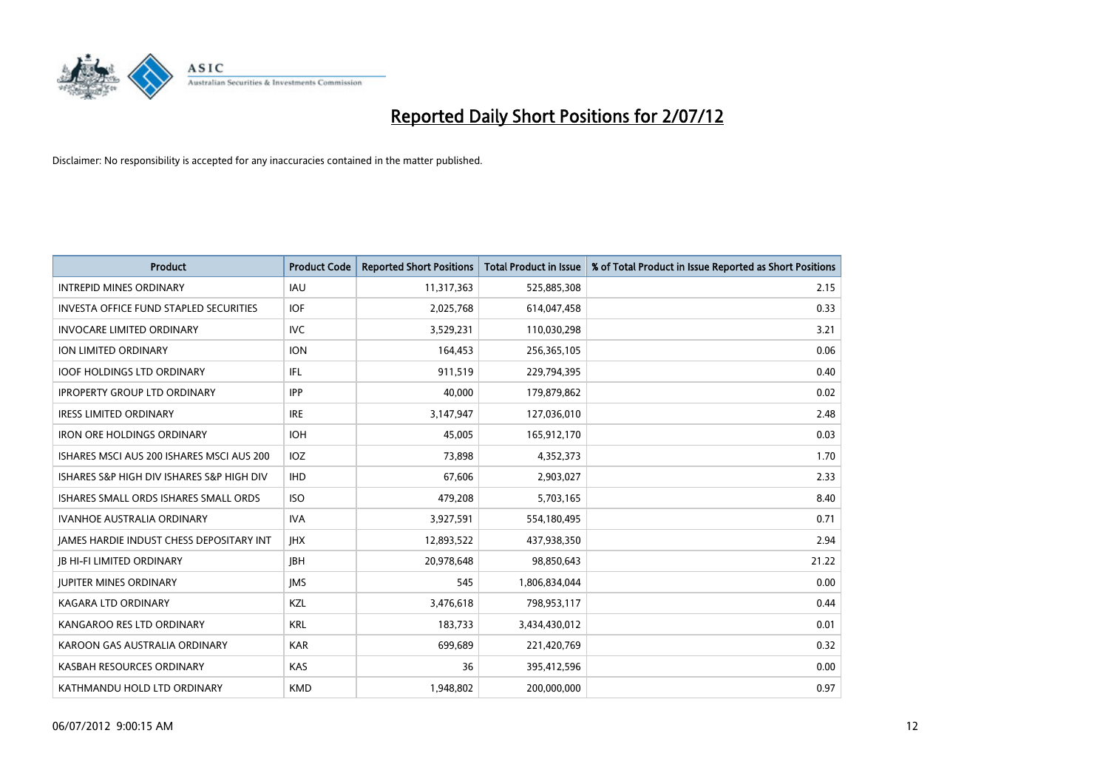

| <b>Product</b>                                  | <b>Product Code</b> | <b>Reported Short Positions</b> | <b>Total Product in Issue</b> | % of Total Product in Issue Reported as Short Positions |
|-------------------------------------------------|---------------------|---------------------------------|-------------------------------|---------------------------------------------------------|
| <b>INTREPID MINES ORDINARY</b>                  | <b>IAU</b>          | 11,317,363                      | 525,885,308                   | 2.15                                                    |
| <b>INVESTA OFFICE FUND STAPLED SECURITIES</b>   | <b>IOF</b>          | 2,025,768                       | 614,047,458                   | 0.33                                                    |
| <b>INVOCARE LIMITED ORDINARY</b>                | <b>IVC</b>          | 3,529,231                       | 110,030,298                   | 3.21                                                    |
| ION LIMITED ORDINARY                            | <b>ION</b>          | 164,453                         | 256,365,105                   | 0.06                                                    |
| <b>IOOF HOLDINGS LTD ORDINARY</b>               | <b>IFL</b>          | 911,519                         | 229,794,395                   | 0.40                                                    |
| <b>IPROPERTY GROUP LTD ORDINARY</b>             | <b>IPP</b>          | 40.000                          | 179,879,862                   | 0.02                                                    |
| <b>IRESS LIMITED ORDINARY</b>                   | <b>IRE</b>          | 3,147,947                       | 127,036,010                   | 2.48                                                    |
| <b>IRON ORE HOLDINGS ORDINARY</b>               | <b>IOH</b>          | 45,005                          | 165,912,170                   | 0.03                                                    |
| ISHARES MSCI AUS 200 ISHARES MSCI AUS 200       | IOZ                 | 73,898                          | 4,352,373                     | 1.70                                                    |
| ISHARES S&P HIGH DIV ISHARES S&P HIGH DIV       | <b>IHD</b>          | 67,606                          | 2,903,027                     | 2.33                                                    |
| ISHARES SMALL ORDS ISHARES SMALL ORDS           | <b>ISO</b>          | 479,208                         | 5,703,165                     | 8.40                                                    |
| <b>IVANHOE AUSTRALIA ORDINARY</b>               | <b>IVA</b>          | 3,927,591                       | 554,180,495                   | 0.71                                                    |
| <b>IAMES HARDIE INDUST CHESS DEPOSITARY INT</b> | <b>IHX</b>          | 12,893,522                      | 437,938,350                   | 2.94                                                    |
| <b>JB HI-FI LIMITED ORDINARY</b>                | <b>IBH</b>          | 20,978,648                      | 98,850,643                    | 21.22                                                   |
| <b>JUPITER MINES ORDINARY</b>                   | <b>IMS</b>          | 545                             | 1,806,834,044                 | 0.00                                                    |
| <b>KAGARA LTD ORDINARY</b>                      | KZL                 | 3,476,618                       | 798,953,117                   | 0.44                                                    |
| KANGAROO RES LTD ORDINARY                       | <b>KRL</b>          | 183,733                         | 3,434,430,012                 | 0.01                                                    |
| KAROON GAS AUSTRALIA ORDINARY                   | <b>KAR</b>          | 699,689                         | 221,420,769                   | 0.32                                                    |
| KASBAH RESOURCES ORDINARY                       | KAS                 | 36                              | 395,412,596                   | 0.00                                                    |
| KATHMANDU HOLD LTD ORDINARY                     | <b>KMD</b>          | 1,948,802                       | 200,000,000                   | 0.97                                                    |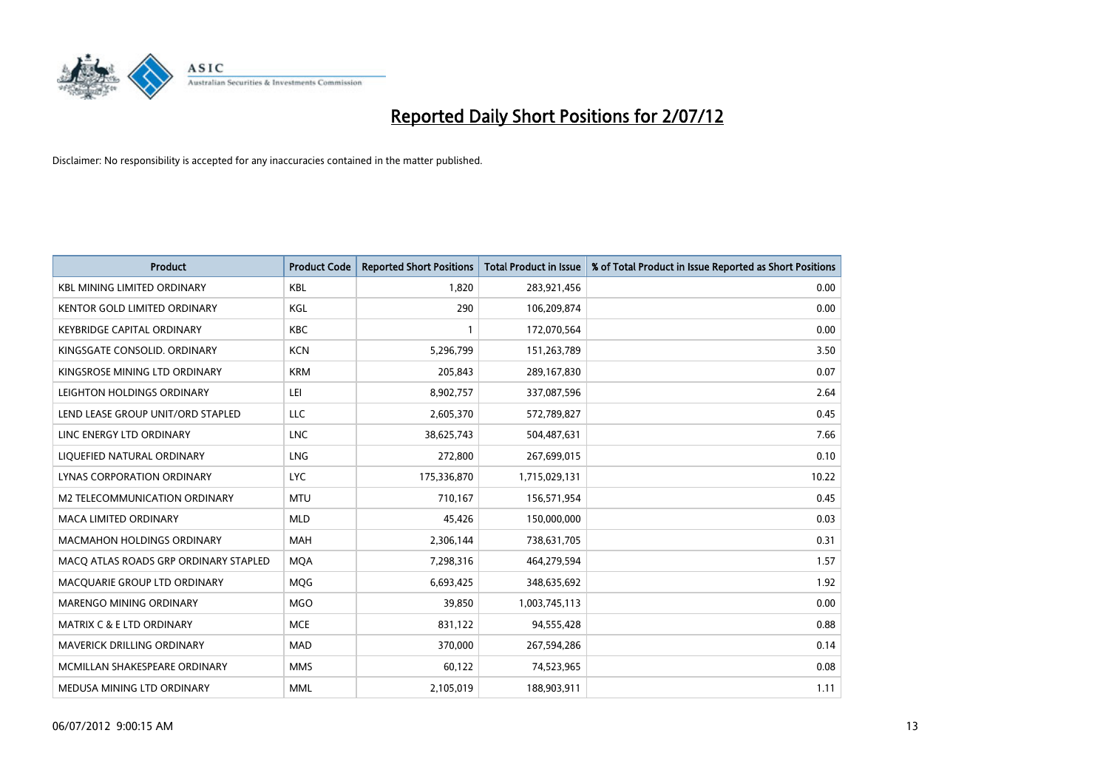

| <b>Product</b>                        | <b>Product Code</b> | <b>Reported Short Positions</b> | <b>Total Product in Issue</b> | % of Total Product in Issue Reported as Short Positions |
|---------------------------------------|---------------------|---------------------------------|-------------------------------|---------------------------------------------------------|
| <b>KBL MINING LIMITED ORDINARY</b>    | <b>KBL</b>          | 1,820                           | 283,921,456                   | 0.00                                                    |
| KENTOR GOLD LIMITED ORDINARY          | KGL                 | 290                             | 106,209,874                   | 0.00                                                    |
| <b>KEYBRIDGE CAPITAL ORDINARY</b>     | <b>KBC</b>          |                                 | 172,070,564                   | 0.00                                                    |
| KINGSGATE CONSOLID. ORDINARY          | <b>KCN</b>          | 5,296,799                       | 151,263,789                   | 3.50                                                    |
| KINGSROSE MINING LTD ORDINARY         | <b>KRM</b>          | 205,843                         | 289,167,830                   | 0.07                                                    |
| LEIGHTON HOLDINGS ORDINARY            | LEI                 | 8,902,757                       | 337,087,596                   | 2.64                                                    |
| LEND LEASE GROUP UNIT/ORD STAPLED     | LLC                 | 2,605,370                       | 572,789,827                   | 0.45                                                    |
| LINC ENERGY LTD ORDINARY              | <b>LNC</b>          | 38,625,743                      | 504,487,631                   | 7.66                                                    |
| LIQUEFIED NATURAL ORDINARY            | LNG                 | 272,800                         | 267,699,015                   | 0.10                                                    |
| LYNAS CORPORATION ORDINARY            | LYC.                | 175,336,870                     | 1,715,029,131                 | 10.22                                                   |
| M2 TELECOMMUNICATION ORDINARY         | <b>MTU</b>          | 710,167                         | 156,571,954                   | 0.45                                                    |
| <b>MACA LIMITED ORDINARY</b>          | <b>MLD</b>          | 45,426                          | 150,000,000                   | 0.03                                                    |
| MACMAHON HOLDINGS ORDINARY            | <b>MAH</b>          | 2,306,144                       | 738,631,705                   | 0.31                                                    |
| MACO ATLAS ROADS GRP ORDINARY STAPLED | <b>MOA</b>          | 7,298,316                       | 464,279,594                   | 1.57                                                    |
| MACQUARIE GROUP LTD ORDINARY          | MQG                 | 6,693,425                       | 348,635,692                   | 1.92                                                    |
| MARENGO MINING ORDINARY               | <b>MGO</b>          | 39,850                          | 1,003,745,113                 | 0.00                                                    |
| <b>MATRIX C &amp; E LTD ORDINARY</b>  | <b>MCE</b>          | 831,122                         | 94,555,428                    | 0.88                                                    |
| MAVERICK DRILLING ORDINARY            | <b>MAD</b>          | 370,000                         | 267,594,286                   | 0.14                                                    |
| MCMILLAN SHAKESPEARE ORDINARY         | <b>MMS</b>          | 60,122                          | 74,523,965                    | 0.08                                                    |
| MEDUSA MINING LTD ORDINARY            | <b>MML</b>          | 2,105,019                       | 188,903,911                   | 1.11                                                    |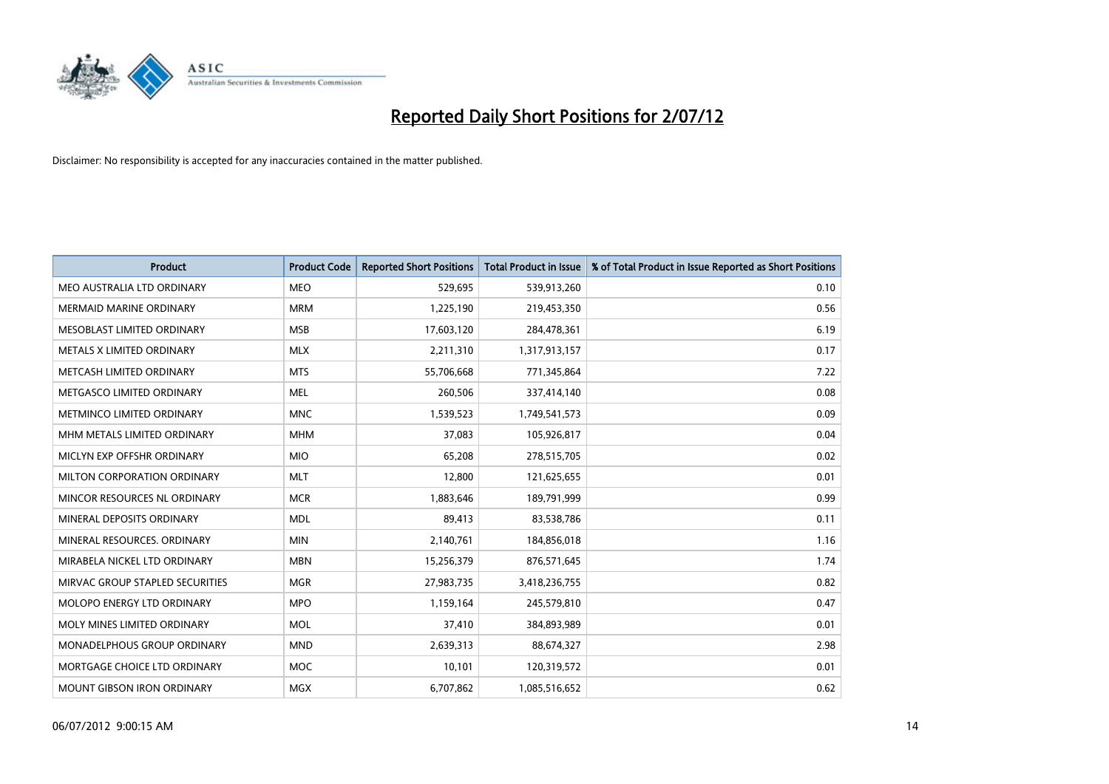

| <b>Product</b>                  | <b>Product Code</b> | <b>Reported Short Positions</b> | <b>Total Product in Issue</b> | % of Total Product in Issue Reported as Short Positions |
|---------------------------------|---------------------|---------------------------------|-------------------------------|---------------------------------------------------------|
| MEO AUSTRALIA LTD ORDINARY      | <b>MEO</b>          | 529,695                         | 539,913,260                   | 0.10                                                    |
| <b>MERMAID MARINE ORDINARY</b>  | <b>MRM</b>          | 1,225,190                       | 219,453,350                   | 0.56                                                    |
| MESOBLAST LIMITED ORDINARY      | <b>MSB</b>          | 17,603,120                      | 284,478,361                   | 6.19                                                    |
| METALS X LIMITED ORDINARY       | <b>MLX</b>          | 2,211,310                       | 1,317,913,157                 | 0.17                                                    |
| METCASH LIMITED ORDINARY        | <b>MTS</b>          | 55,706,668                      | 771,345,864                   | 7.22                                                    |
| METGASCO LIMITED ORDINARY       | <b>MEL</b>          | 260,506                         | 337,414,140                   | 0.08                                                    |
| METMINCO LIMITED ORDINARY       | <b>MNC</b>          | 1,539,523                       | 1,749,541,573                 | 0.09                                                    |
| MHM METALS LIMITED ORDINARY     | <b>MHM</b>          | 37,083                          | 105,926,817                   | 0.04                                                    |
| MICLYN EXP OFFSHR ORDINARY      | <b>MIO</b>          | 65,208                          | 278,515,705                   | 0.02                                                    |
| MILTON CORPORATION ORDINARY     | <b>MLT</b>          | 12,800                          | 121,625,655                   | 0.01                                                    |
| MINCOR RESOURCES NL ORDINARY    | <b>MCR</b>          | 1,883,646                       | 189,791,999                   | 0.99                                                    |
| MINERAL DEPOSITS ORDINARY       | <b>MDL</b>          | 89,413                          | 83,538,786                    | 0.11                                                    |
| MINERAL RESOURCES, ORDINARY     | <b>MIN</b>          | 2,140,761                       | 184,856,018                   | 1.16                                                    |
| MIRABELA NICKEL LTD ORDINARY    | <b>MBN</b>          | 15,256,379                      | 876,571,645                   | 1.74                                                    |
| MIRVAC GROUP STAPLED SECURITIES | <b>MGR</b>          | 27,983,735                      | 3,418,236,755                 | 0.82                                                    |
| MOLOPO ENERGY LTD ORDINARY      | <b>MPO</b>          | 1,159,164                       | 245,579,810                   | 0.47                                                    |
| MOLY MINES LIMITED ORDINARY     | <b>MOL</b>          | 37,410                          | 384,893,989                   | 0.01                                                    |
| MONADELPHOUS GROUP ORDINARY     | <b>MND</b>          | 2,639,313                       | 88,674,327                    | 2.98                                                    |
| MORTGAGE CHOICE LTD ORDINARY    | <b>MOC</b>          | 10,101                          | 120,319,572                   | 0.01                                                    |
| MOUNT GIBSON IRON ORDINARY      | <b>MGX</b>          | 6,707,862                       | 1,085,516,652                 | 0.62                                                    |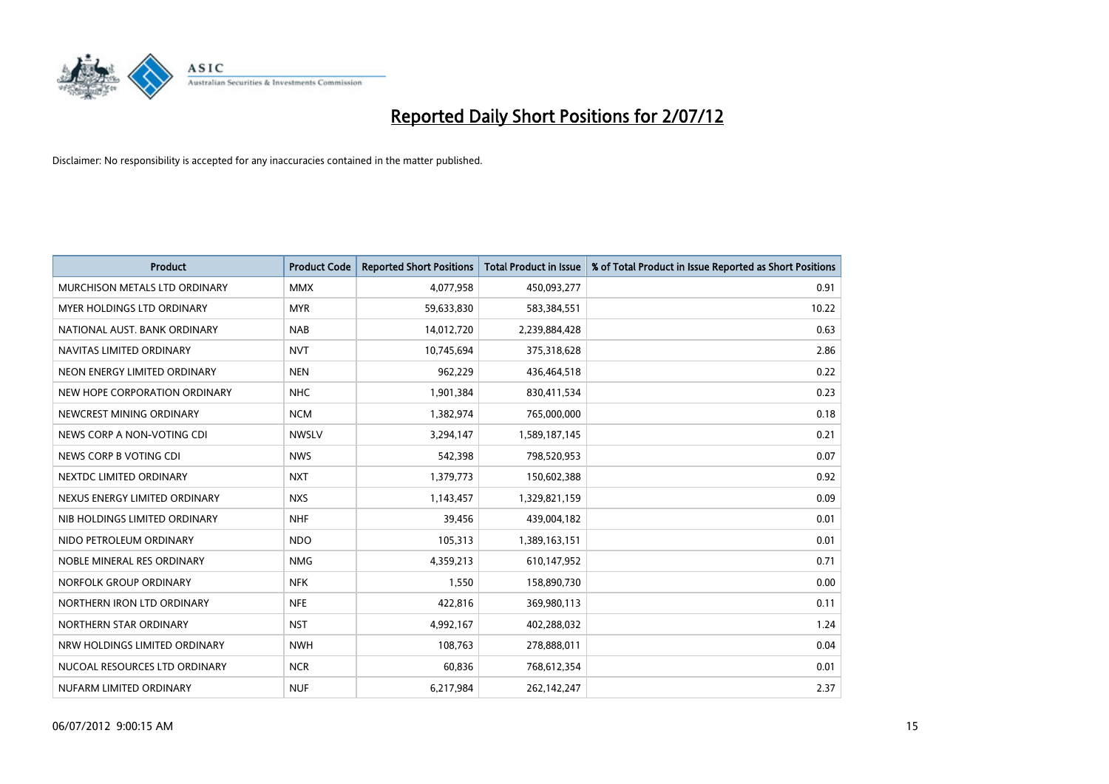

| <b>Product</b>                       | <b>Product Code</b> | <b>Reported Short Positions</b> | <b>Total Product in Issue</b> | % of Total Product in Issue Reported as Short Positions |
|--------------------------------------|---------------------|---------------------------------|-------------------------------|---------------------------------------------------------|
| <b>MURCHISON METALS LTD ORDINARY</b> | <b>MMX</b>          | 4,077,958                       | 450,093,277                   | 0.91                                                    |
| MYER HOLDINGS LTD ORDINARY           | <b>MYR</b>          | 59,633,830                      | 583,384,551                   | 10.22                                                   |
| NATIONAL AUST. BANK ORDINARY         | <b>NAB</b>          | 14,012,720                      | 2,239,884,428                 | 0.63                                                    |
| NAVITAS LIMITED ORDINARY             | <b>NVT</b>          | 10,745,694                      | 375,318,628                   | 2.86                                                    |
| NEON ENERGY LIMITED ORDINARY         | <b>NEN</b>          | 962,229                         | 436,464,518                   | 0.22                                                    |
| NEW HOPE CORPORATION ORDINARY        | <b>NHC</b>          | 1,901,384                       | 830,411,534                   | 0.23                                                    |
| NEWCREST MINING ORDINARY             | <b>NCM</b>          | 1,382,974                       | 765,000,000                   | 0.18                                                    |
| NEWS CORP A NON-VOTING CDI           | <b>NWSLV</b>        | 3,294,147                       | 1,589,187,145                 | 0.21                                                    |
| NEWS CORP B VOTING CDI               | <b>NWS</b>          | 542,398                         | 798,520,953                   | 0.07                                                    |
| NEXTDC LIMITED ORDINARY              | <b>NXT</b>          | 1,379,773                       | 150,602,388                   | 0.92                                                    |
| NEXUS ENERGY LIMITED ORDINARY        | <b>NXS</b>          | 1,143,457                       | 1,329,821,159                 | 0.09                                                    |
| NIB HOLDINGS LIMITED ORDINARY        | <b>NHF</b>          | 39,456                          | 439,004,182                   | 0.01                                                    |
| NIDO PETROLEUM ORDINARY              | <b>NDO</b>          | 105,313                         | 1,389,163,151                 | 0.01                                                    |
| NOBLE MINERAL RES ORDINARY           | <b>NMG</b>          | 4,359,213                       | 610,147,952                   | 0.71                                                    |
| NORFOLK GROUP ORDINARY               | <b>NFK</b>          | 1,550                           | 158,890,730                   | 0.00                                                    |
| NORTHERN IRON LTD ORDINARY           | <b>NFE</b>          | 422,816                         | 369,980,113                   | 0.11                                                    |
| NORTHERN STAR ORDINARY               | <b>NST</b>          | 4,992,167                       | 402,288,032                   | 1.24                                                    |
| NRW HOLDINGS LIMITED ORDINARY        | <b>NWH</b>          | 108,763                         | 278,888,011                   | 0.04                                                    |
| NUCOAL RESOURCES LTD ORDINARY        | <b>NCR</b>          | 60,836                          | 768,612,354                   | 0.01                                                    |
| NUFARM LIMITED ORDINARY              | <b>NUF</b>          | 6,217,984                       | 262,142,247                   | 2.37                                                    |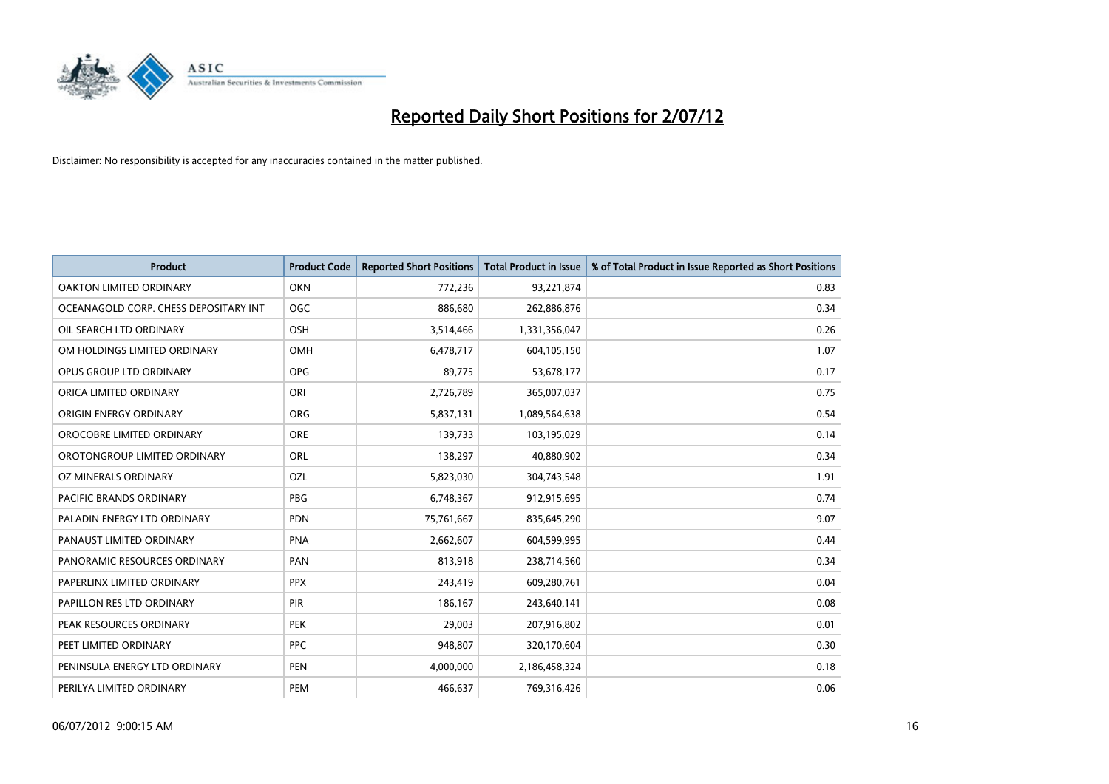

| <b>Product</b>                        | <b>Product Code</b> | <b>Reported Short Positions</b> | <b>Total Product in Issue</b> | % of Total Product in Issue Reported as Short Positions |
|---------------------------------------|---------------------|---------------------------------|-------------------------------|---------------------------------------------------------|
| <b>OAKTON LIMITED ORDINARY</b>        | <b>OKN</b>          | 772,236                         | 93,221,874                    | 0.83                                                    |
| OCEANAGOLD CORP. CHESS DEPOSITARY INT | <b>OGC</b>          | 886,680                         | 262,886,876                   | 0.34                                                    |
| OIL SEARCH LTD ORDINARY               | <b>OSH</b>          | 3,514,466                       | 1,331,356,047                 | 0.26                                                    |
| OM HOLDINGS LIMITED ORDINARY          | <b>OMH</b>          | 6,478,717                       | 604,105,150                   | 1.07                                                    |
| OPUS GROUP LTD ORDINARY               | <b>OPG</b>          | 89,775                          | 53,678,177                    | 0.17                                                    |
| ORICA LIMITED ORDINARY                | ORI                 | 2,726,789                       | 365,007,037                   | 0.75                                                    |
| ORIGIN ENERGY ORDINARY                | <b>ORG</b>          | 5,837,131                       | 1,089,564,638                 | 0.54                                                    |
| OROCOBRE LIMITED ORDINARY             | <b>ORE</b>          | 139,733                         | 103,195,029                   | 0.14                                                    |
| OROTONGROUP LIMITED ORDINARY          | <b>ORL</b>          | 138,297                         | 40,880,902                    | 0.34                                                    |
| OZ MINERALS ORDINARY                  | OZL                 | 5,823,030                       | 304,743,548                   | 1.91                                                    |
| PACIFIC BRANDS ORDINARY               | <b>PBG</b>          | 6,748,367                       | 912,915,695                   | 0.74                                                    |
| PALADIN ENERGY LTD ORDINARY           | <b>PDN</b>          | 75,761,667                      | 835,645,290                   | 9.07                                                    |
| PANAUST LIMITED ORDINARY              | <b>PNA</b>          | 2,662,607                       | 604,599,995                   | 0.44                                                    |
| PANORAMIC RESOURCES ORDINARY          | PAN                 | 813,918                         | 238,714,560                   | 0.34                                                    |
| PAPERLINX LIMITED ORDINARY            | <b>PPX</b>          | 243,419                         | 609,280,761                   | 0.04                                                    |
| PAPILLON RES LTD ORDINARY             | PIR                 | 186,167                         | 243,640,141                   | 0.08                                                    |
| PEAK RESOURCES ORDINARY               | <b>PEK</b>          | 29,003                          | 207,916,802                   | 0.01                                                    |
| PEET LIMITED ORDINARY                 | <b>PPC</b>          | 948,807                         | 320,170,604                   | 0.30                                                    |
| PENINSULA ENERGY LTD ORDINARY         | <b>PEN</b>          | 4,000,000                       | 2,186,458,324                 | 0.18                                                    |
| PERILYA LIMITED ORDINARY              | PEM                 | 466,637                         | 769,316,426                   | 0.06                                                    |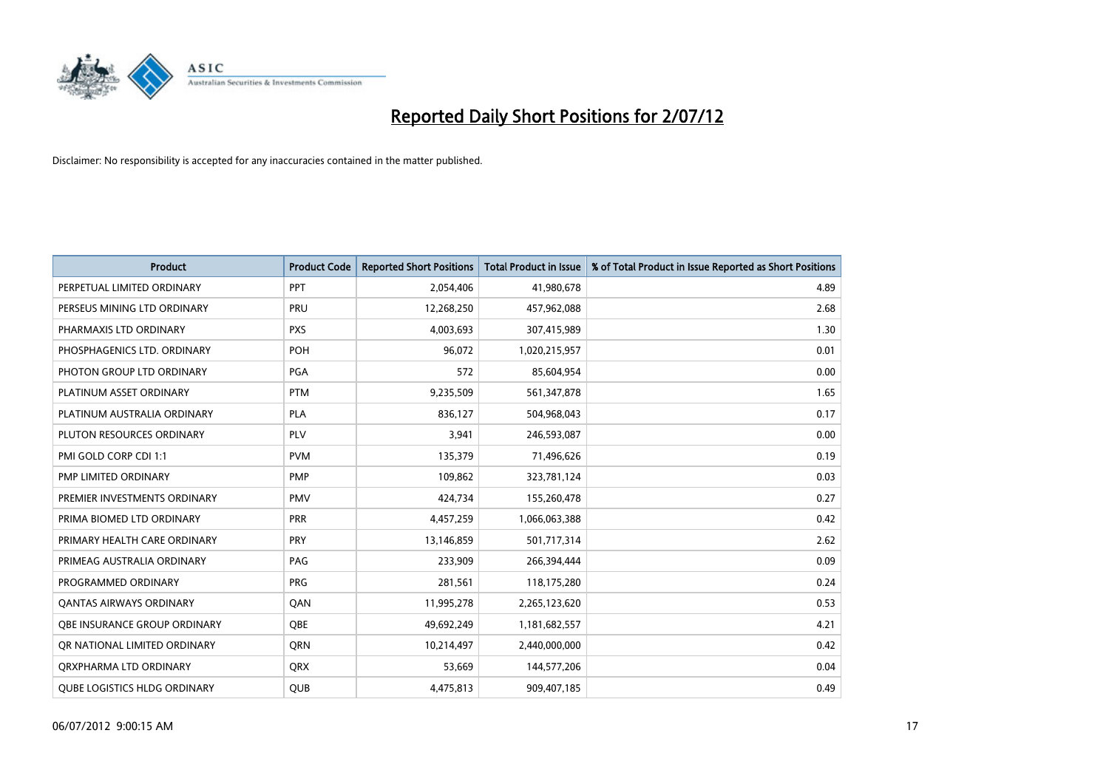

| <b>Product</b>                      | <b>Product Code</b> | <b>Reported Short Positions</b> | <b>Total Product in Issue</b> | % of Total Product in Issue Reported as Short Positions |
|-------------------------------------|---------------------|---------------------------------|-------------------------------|---------------------------------------------------------|
| PERPETUAL LIMITED ORDINARY          | PPT                 | 2,054,406                       | 41,980,678                    | 4.89                                                    |
| PERSEUS MINING LTD ORDINARY         | PRU                 | 12,268,250                      | 457,962,088                   | 2.68                                                    |
| PHARMAXIS LTD ORDINARY              | <b>PXS</b>          | 4,003,693                       | 307,415,989                   | 1.30                                                    |
| PHOSPHAGENICS LTD. ORDINARY         | POH                 | 96,072                          | 1,020,215,957                 | 0.01                                                    |
| PHOTON GROUP LTD ORDINARY           | <b>PGA</b>          | 572                             | 85,604,954                    | 0.00                                                    |
| PLATINUM ASSET ORDINARY             | <b>PTM</b>          | 9,235,509                       | 561,347,878                   | 1.65                                                    |
| PLATINUM AUSTRALIA ORDINARY         | <b>PLA</b>          | 836.127                         | 504,968,043                   | 0.17                                                    |
| PLUTON RESOURCES ORDINARY           | PLV                 | 3,941                           | 246,593,087                   | 0.00                                                    |
| PMI GOLD CORP CDI 1:1               | <b>PVM</b>          | 135,379                         | 71,496,626                    | 0.19                                                    |
| PMP LIMITED ORDINARY                | <b>PMP</b>          | 109,862                         | 323,781,124                   | 0.03                                                    |
| PREMIER INVESTMENTS ORDINARY        | <b>PMV</b>          | 424,734                         | 155,260,478                   | 0.27                                                    |
| PRIMA BIOMED LTD ORDINARY           | <b>PRR</b>          | 4,457,259                       | 1,066,063,388                 | 0.42                                                    |
| PRIMARY HEALTH CARE ORDINARY        | <b>PRY</b>          | 13,146,859                      | 501,717,314                   | 2.62                                                    |
| PRIMEAG AUSTRALIA ORDINARY          | PAG                 | 233.909                         | 266,394,444                   | 0.09                                                    |
| PROGRAMMED ORDINARY                 | <b>PRG</b>          | 281,561                         | 118,175,280                   | 0.24                                                    |
| <b>QANTAS AIRWAYS ORDINARY</b>      | QAN                 | 11,995,278                      | 2,265,123,620                 | 0.53                                                    |
| OBE INSURANCE GROUP ORDINARY        | <b>OBE</b>          | 49,692,249                      | 1,181,682,557                 | 4.21                                                    |
| OR NATIONAL LIMITED ORDINARY        | <b>ORN</b>          | 10,214,497                      | 2,440,000,000                 | 0.42                                                    |
| ORXPHARMA LTD ORDINARY              | <b>QRX</b>          | 53,669                          | 144,577,206                   | 0.04                                                    |
| <b>OUBE LOGISTICS HLDG ORDINARY</b> | <b>OUB</b>          | 4,475,813                       | 909,407,185                   | 0.49                                                    |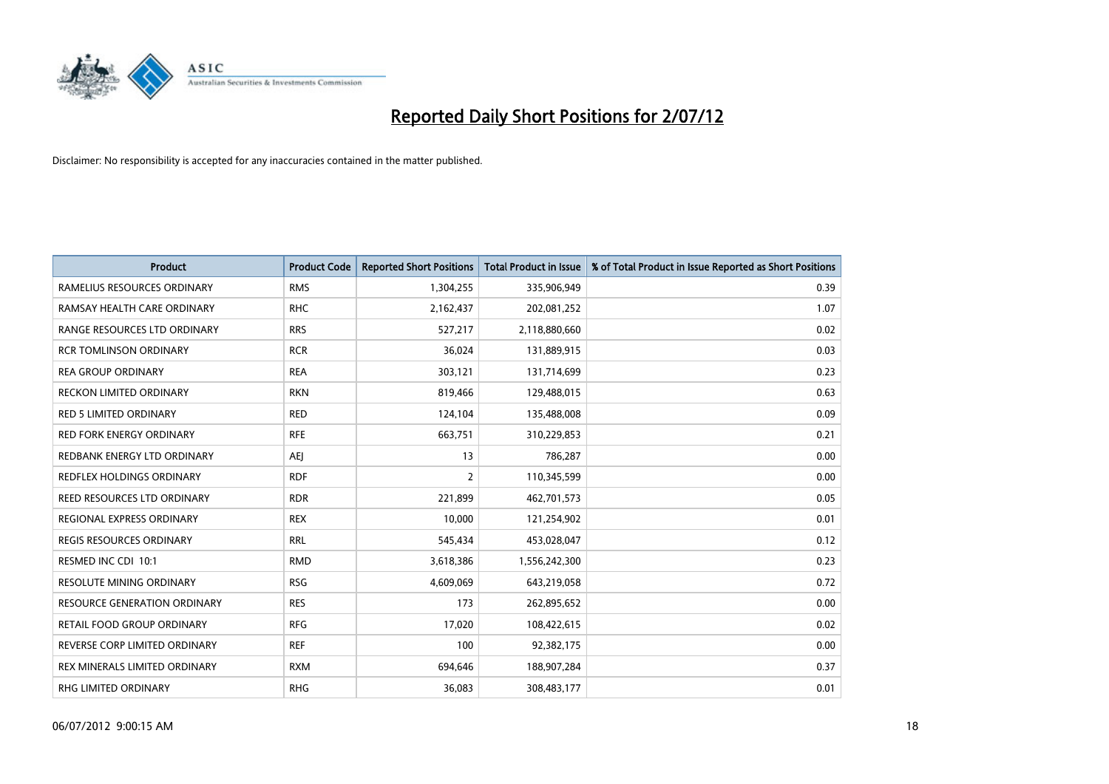

| <b>Product</b>                      | <b>Product Code</b> | <b>Reported Short Positions</b> | <b>Total Product in Issue</b> | % of Total Product in Issue Reported as Short Positions |
|-------------------------------------|---------------------|---------------------------------|-------------------------------|---------------------------------------------------------|
| RAMELIUS RESOURCES ORDINARY         | <b>RMS</b>          | 1,304,255                       | 335,906,949                   | 0.39                                                    |
| RAMSAY HEALTH CARE ORDINARY         | <b>RHC</b>          | 2,162,437                       | 202,081,252                   | 1.07                                                    |
| RANGE RESOURCES LTD ORDINARY        | <b>RRS</b>          | 527,217                         | 2,118,880,660                 | 0.02                                                    |
| <b>RCR TOMLINSON ORDINARY</b>       | <b>RCR</b>          | 36,024                          | 131,889,915                   | 0.03                                                    |
| <b>REA GROUP ORDINARY</b>           | <b>REA</b>          | 303,121                         | 131,714,699                   | 0.23                                                    |
| <b>RECKON LIMITED ORDINARY</b>      | <b>RKN</b>          | 819,466                         | 129,488,015                   | 0.63                                                    |
| <b>RED 5 LIMITED ORDINARY</b>       | <b>RED</b>          | 124,104                         | 135,488,008                   | 0.09                                                    |
| RED FORK ENERGY ORDINARY            | <b>RFE</b>          | 663,751                         | 310,229,853                   | 0.21                                                    |
| REDBANK ENERGY LTD ORDINARY         | AEJ                 | 13                              | 786,287                       | 0.00                                                    |
| REDFLEX HOLDINGS ORDINARY           | <b>RDF</b>          | $\overline{2}$                  | 110,345,599                   | 0.00                                                    |
| REED RESOURCES LTD ORDINARY         | <b>RDR</b>          | 221,899                         | 462,701,573                   | 0.05                                                    |
| REGIONAL EXPRESS ORDINARY           | <b>REX</b>          | 10,000                          | 121,254,902                   | 0.01                                                    |
| REGIS RESOURCES ORDINARY            | <b>RRL</b>          | 545,434                         | 453,028,047                   | 0.12                                                    |
| RESMED INC CDI 10:1                 | <b>RMD</b>          | 3,618,386                       | 1,556,242,300                 | 0.23                                                    |
| <b>RESOLUTE MINING ORDINARY</b>     | <b>RSG</b>          | 4,609,069                       | 643,219,058                   | 0.72                                                    |
| <b>RESOURCE GENERATION ORDINARY</b> | <b>RES</b>          | 173                             | 262,895,652                   | 0.00                                                    |
| RETAIL FOOD GROUP ORDINARY          | <b>RFG</b>          | 17,020                          | 108,422,615                   | 0.02                                                    |
| REVERSE CORP LIMITED ORDINARY       | <b>REF</b>          | 100                             | 92,382,175                    | 0.00                                                    |
| REX MINERALS LIMITED ORDINARY       | <b>RXM</b>          | 694,646                         | 188,907,284                   | 0.37                                                    |
| RHG LIMITED ORDINARY                | <b>RHG</b>          | 36,083                          | 308,483,177                   | 0.01                                                    |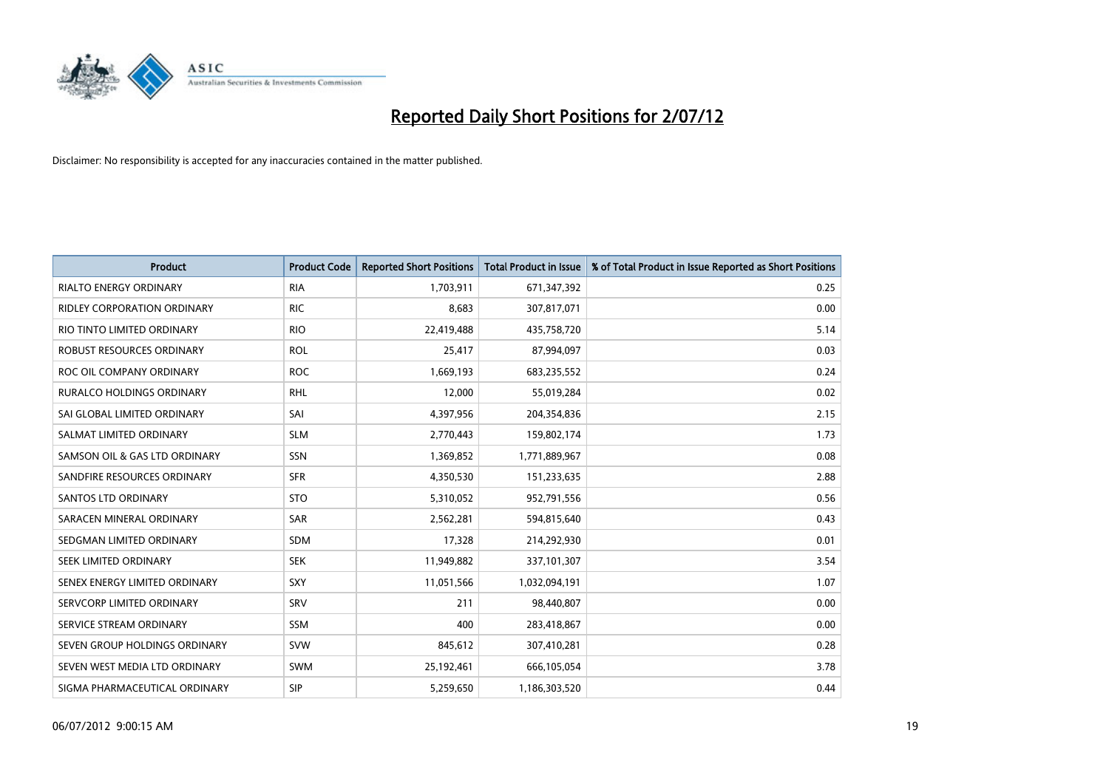

| <b>Product</b>                   | <b>Product Code</b> | <b>Reported Short Positions</b> | <b>Total Product in Issue</b> | % of Total Product in Issue Reported as Short Positions |
|----------------------------------|---------------------|---------------------------------|-------------------------------|---------------------------------------------------------|
| <b>RIALTO ENERGY ORDINARY</b>    | <b>RIA</b>          | 1,703,911                       | 671,347,392                   | 0.25                                                    |
| RIDLEY CORPORATION ORDINARY      | <b>RIC</b>          | 8,683                           | 307,817,071                   | 0.00                                                    |
| RIO TINTO LIMITED ORDINARY       | <b>RIO</b>          | 22,419,488                      | 435,758,720                   | 5.14                                                    |
| ROBUST RESOURCES ORDINARY        | <b>ROL</b>          | 25,417                          | 87,994,097                    | 0.03                                                    |
| ROC OIL COMPANY ORDINARY         | <b>ROC</b>          | 1,669,193                       | 683,235,552                   | 0.24                                                    |
| <b>RURALCO HOLDINGS ORDINARY</b> | <b>RHL</b>          | 12,000                          | 55,019,284                    | 0.02                                                    |
| SAI GLOBAL LIMITED ORDINARY      | SAI                 | 4,397,956                       | 204,354,836                   | 2.15                                                    |
| SALMAT LIMITED ORDINARY          | <b>SLM</b>          | 2,770,443                       | 159,802,174                   | 1.73                                                    |
| SAMSON OIL & GAS LTD ORDINARY    | SSN                 | 1,369,852                       | 1,771,889,967                 | 0.08                                                    |
| SANDFIRE RESOURCES ORDINARY      | <b>SFR</b>          | 4,350,530                       | 151,233,635                   | 2.88                                                    |
| SANTOS LTD ORDINARY              | <b>STO</b>          | 5,310,052                       | 952,791,556                   | 0.56                                                    |
| SARACEN MINERAL ORDINARY         | SAR                 | 2,562,281                       | 594,815,640                   | 0.43                                                    |
| SEDGMAN LIMITED ORDINARY         | <b>SDM</b>          | 17,328                          | 214,292,930                   | 0.01                                                    |
| SEEK LIMITED ORDINARY            | <b>SEK</b>          | 11,949,882                      | 337,101,307                   | 3.54                                                    |
| SENEX ENERGY LIMITED ORDINARY    | <b>SXY</b>          | 11,051,566                      | 1,032,094,191                 | 1.07                                                    |
| SERVCORP LIMITED ORDINARY        | SRV                 | 211                             | 98,440,807                    | 0.00                                                    |
| SERVICE STREAM ORDINARY          | <b>SSM</b>          | 400                             | 283,418,867                   | 0.00                                                    |
| SEVEN GROUP HOLDINGS ORDINARY    | <b>SVW</b>          | 845,612                         | 307,410,281                   | 0.28                                                    |
| SEVEN WEST MEDIA LTD ORDINARY    | <b>SWM</b>          | 25,192,461                      | 666,105,054                   | 3.78                                                    |
| SIGMA PHARMACEUTICAL ORDINARY    | <b>SIP</b>          | 5.259.650                       | 1,186,303,520                 | 0.44                                                    |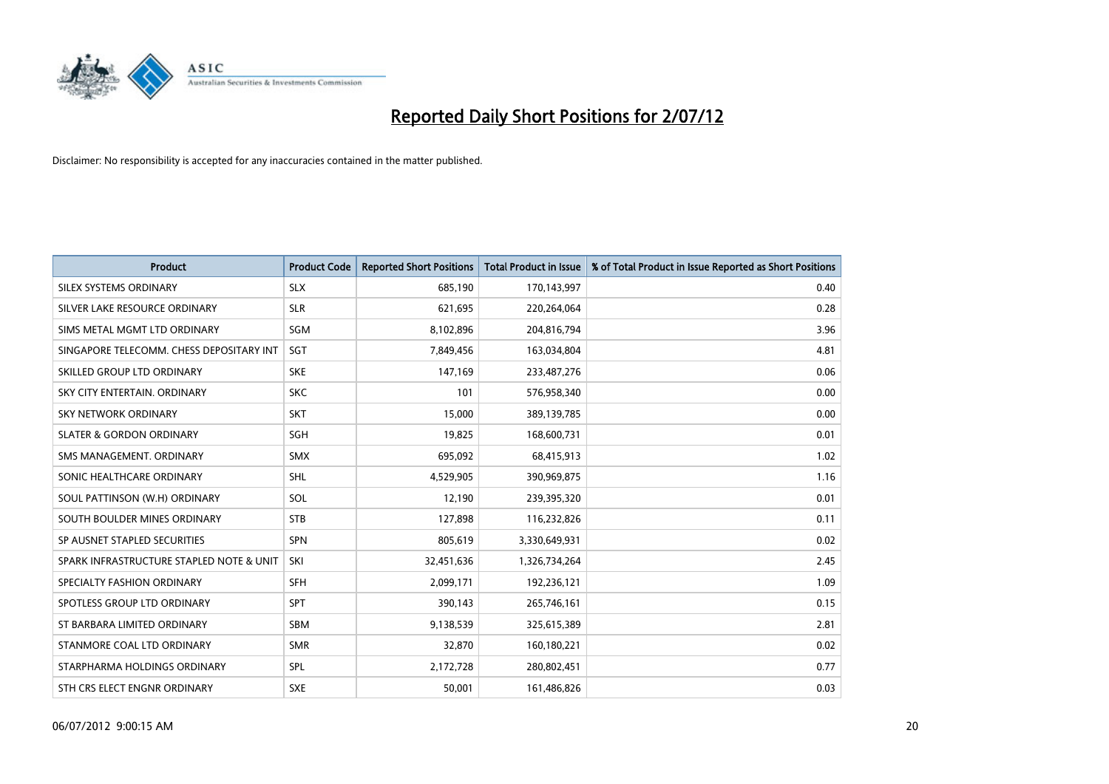

| <b>Product</b>                           | <b>Product Code</b> | <b>Reported Short Positions</b> | <b>Total Product in Issue</b> | % of Total Product in Issue Reported as Short Positions |
|------------------------------------------|---------------------|---------------------------------|-------------------------------|---------------------------------------------------------|
| SILEX SYSTEMS ORDINARY                   | <b>SLX</b>          | 685,190                         | 170,143,997                   | 0.40                                                    |
| SILVER LAKE RESOURCE ORDINARY            | <b>SLR</b>          | 621,695                         | 220,264,064                   | 0.28                                                    |
| SIMS METAL MGMT LTD ORDINARY             | <b>SGM</b>          | 8,102,896                       | 204,816,794                   | 3.96                                                    |
| SINGAPORE TELECOMM. CHESS DEPOSITARY INT | <b>SGT</b>          | 7,849,456                       | 163,034,804                   | 4.81                                                    |
| SKILLED GROUP LTD ORDINARY               | <b>SKE</b>          | 147,169                         | 233,487,276                   | 0.06                                                    |
| SKY CITY ENTERTAIN, ORDINARY             | <b>SKC</b>          | 101                             | 576,958,340                   | 0.00                                                    |
| SKY NETWORK ORDINARY                     | <b>SKT</b>          | 15,000                          | 389,139,785                   | 0.00                                                    |
| <b>SLATER &amp; GORDON ORDINARY</b>      | <b>SGH</b>          | 19,825                          | 168,600,731                   | 0.01                                                    |
| SMS MANAGEMENT, ORDINARY                 | <b>SMX</b>          | 695,092                         | 68,415,913                    | 1.02                                                    |
| SONIC HEALTHCARE ORDINARY                | <b>SHL</b>          | 4,529,905                       | 390,969,875                   | 1.16                                                    |
| SOUL PATTINSON (W.H) ORDINARY            | SOL                 | 12,190                          | 239,395,320                   | 0.01                                                    |
| SOUTH BOULDER MINES ORDINARY             | <b>STB</b>          | 127,898                         | 116,232,826                   | 0.11                                                    |
| SP AUSNET STAPLED SECURITIES             | <b>SPN</b>          | 805,619                         | 3,330,649,931                 | 0.02                                                    |
| SPARK INFRASTRUCTURE STAPLED NOTE & UNIT | SKI                 | 32,451,636                      | 1,326,734,264                 | 2.45                                                    |
| SPECIALTY FASHION ORDINARY               | <b>SFH</b>          | 2,099,171                       | 192,236,121                   | 1.09                                                    |
| SPOTLESS GROUP LTD ORDINARY              | <b>SPT</b>          | 390,143                         | 265,746,161                   | 0.15                                                    |
| ST BARBARA LIMITED ORDINARY              | <b>SBM</b>          | 9,138,539                       | 325,615,389                   | 2.81                                                    |
| STANMORE COAL LTD ORDINARY               | <b>SMR</b>          | 32,870                          | 160,180,221                   | 0.02                                                    |
| STARPHARMA HOLDINGS ORDINARY             | <b>SPL</b>          | 2,172,728                       | 280,802,451                   | 0.77                                                    |
| STH CRS ELECT ENGNR ORDINARY             | <b>SXE</b>          | 50,001                          | 161,486,826                   | 0.03                                                    |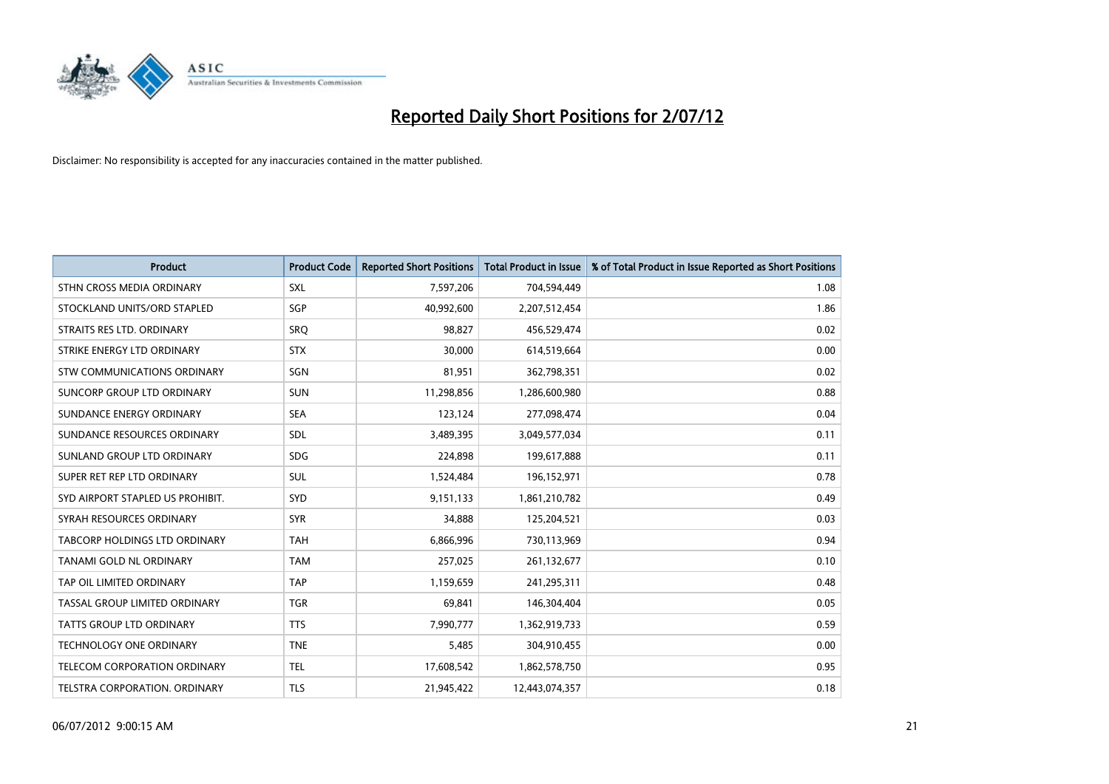

| <b>Product</b>                      | <b>Product Code</b> | <b>Reported Short Positions</b> | <b>Total Product in Issue</b> | % of Total Product in Issue Reported as Short Positions |
|-------------------------------------|---------------------|---------------------------------|-------------------------------|---------------------------------------------------------|
| STHN CROSS MEDIA ORDINARY           | <b>SXL</b>          | 7,597,206                       | 704,594,449                   | 1.08                                                    |
| STOCKLAND UNITS/ORD STAPLED         | <b>SGP</b>          | 40,992,600                      | 2,207,512,454                 | 1.86                                                    |
| STRAITS RES LTD. ORDINARY           | SRO                 | 98,827                          | 456,529,474                   | 0.02                                                    |
| STRIKE ENERGY LTD ORDINARY          | <b>STX</b>          | 30,000                          | 614,519,664                   | 0.00                                                    |
| <b>STW COMMUNICATIONS ORDINARY</b>  | SGN                 | 81,951                          | 362,798,351                   | 0.02                                                    |
| SUNCORP GROUP LTD ORDINARY          | <b>SUN</b>          | 11,298,856                      | 1,286,600,980                 | 0.88                                                    |
| SUNDANCE ENERGY ORDINARY            | <b>SEA</b>          | 123.124                         | 277,098,474                   | 0.04                                                    |
| SUNDANCE RESOURCES ORDINARY         | <b>SDL</b>          | 3,489,395                       | 3,049,577,034                 | 0.11                                                    |
| SUNLAND GROUP LTD ORDINARY          | <b>SDG</b>          | 224,898                         | 199,617,888                   | 0.11                                                    |
| SUPER RET REP LTD ORDINARY          | <b>SUL</b>          | 1,524,484                       | 196,152,971                   | 0.78                                                    |
| SYD AIRPORT STAPLED US PROHIBIT.    | <b>SYD</b>          | 9,151,133                       | 1,861,210,782                 | 0.49                                                    |
| SYRAH RESOURCES ORDINARY            | <b>SYR</b>          | 34,888                          | 125,204,521                   | 0.03                                                    |
| TABCORP HOLDINGS LTD ORDINARY       | <b>TAH</b>          | 6,866,996                       | 730,113,969                   | 0.94                                                    |
| <b>TANAMI GOLD NL ORDINARY</b>      | <b>TAM</b>          | 257,025                         | 261,132,677                   | 0.10                                                    |
| TAP OIL LIMITED ORDINARY            | <b>TAP</b>          | 1,159,659                       | 241,295,311                   | 0.48                                                    |
| TASSAL GROUP LIMITED ORDINARY       | <b>TGR</b>          | 69,841                          | 146,304,404                   | 0.05                                                    |
| <b>TATTS GROUP LTD ORDINARY</b>     | <b>TTS</b>          | 7,990,777                       | 1,362,919,733                 | 0.59                                                    |
| <b>TECHNOLOGY ONE ORDINARY</b>      | <b>TNE</b>          | 5,485                           | 304,910,455                   | 0.00                                                    |
| <b>TELECOM CORPORATION ORDINARY</b> | <b>TEL</b>          | 17,608,542                      | 1,862,578,750                 | 0.95                                                    |
| TELSTRA CORPORATION, ORDINARY       | <b>TLS</b>          | 21,945,422                      | 12,443,074,357                | 0.18                                                    |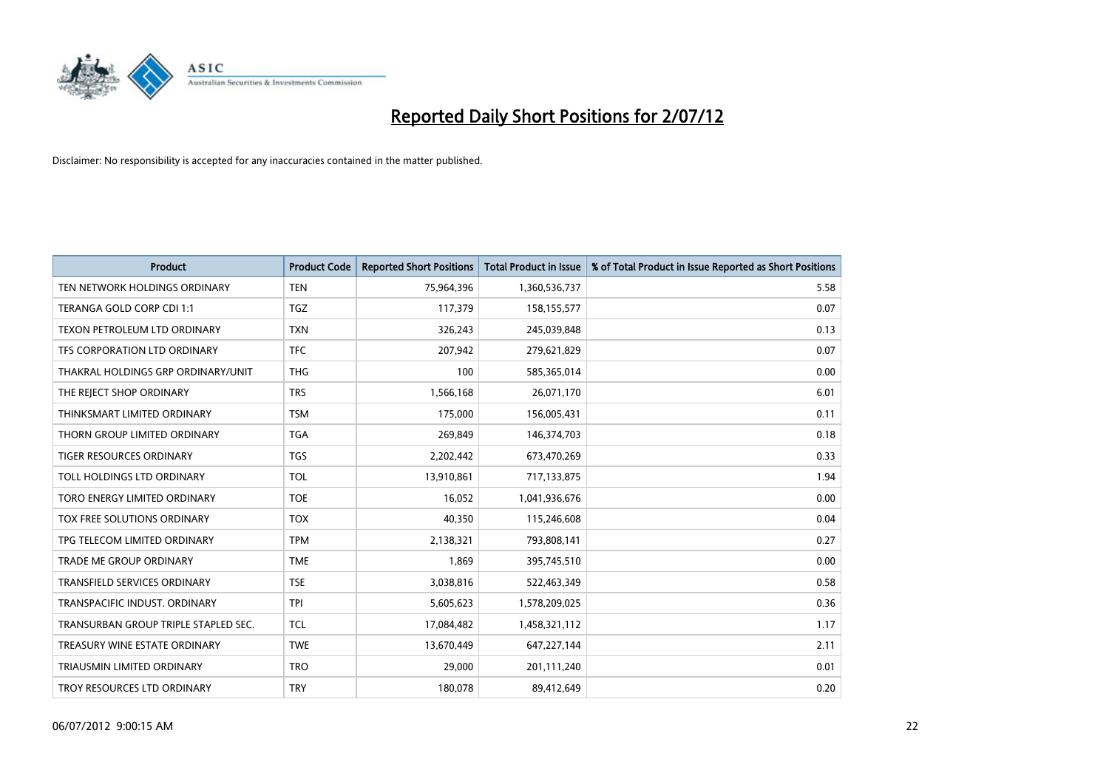

| <b>Product</b>                       | <b>Product Code</b> | <b>Reported Short Positions</b> | <b>Total Product in Issue</b> | % of Total Product in Issue Reported as Short Positions |
|--------------------------------------|---------------------|---------------------------------|-------------------------------|---------------------------------------------------------|
| TEN NETWORK HOLDINGS ORDINARY        | <b>TEN</b>          | 75,964,396                      | 1,360,536,737                 | 5.58                                                    |
| TERANGA GOLD CORP CDI 1:1            | <b>TGZ</b>          | 117,379                         | 158,155,577                   | 0.07                                                    |
| TEXON PETROLEUM LTD ORDINARY         | <b>TXN</b>          | 326,243                         | 245,039,848                   | 0.13                                                    |
| TFS CORPORATION LTD ORDINARY         | <b>TFC</b>          | 207,942                         | 279,621,829                   | 0.07                                                    |
| THAKRAL HOLDINGS GRP ORDINARY/UNIT   | <b>THG</b>          | 100                             | 585,365,014                   | 0.00                                                    |
| THE REJECT SHOP ORDINARY             | <b>TRS</b>          | 1,566,168                       | 26,071,170                    | 6.01                                                    |
| THINKSMART LIMITED ORDINARY          | <b>TSM</b>          | 175,000                         | 156,005,431                   | 0.11                                                    |
| THORN GROUP LIMITED ORDINARY         | <b>TGA</b>          | 269,849                         | 146,374,703                   | 0.18                                                    |
| TIGER RESOURCES ORDINARY             | <b>TGS</b>          | 2,202,442                       | 673,470,269                   | 0.33                                                    |
| TOLL HOLDINGS LTD ORDINARY           | <b>TOL</b>          | 13,910,861                      | 717,133,875                   | 1.94                                                    |
| TORO ENERGY LIMITED ORDINARY         | <b>TOE</b>          | 16,052                          | 1,041,936,676                 | 0.00                                                    |
| TOX FREE SOLUTIONS ORDINARY          | <b>TOX</b>          | 40,350                          | 115,246,608                   | 0.04                                                    |
| TPG TELECOM LIMITED ORDINARY         | <b>TPM</b>          | 2,138,321                       | 793,808,141                   | 0.27                                                    |
| <b>TRADE ME GROUP ORDINARY</b>       | <b>TME</b>          | 1,869                           | 395,745,510                   | 0.00                                                    |
| <b>TRANSFIELD SERVICES ORDINARY</b>  | <b>TSE</b>          | 3,038,816                       | 522,463,349                   | 0.58                                                    |
| TRANSPACIFIC INDUST. ORDINARY        | <b>TPI</b>          | 5,605,623                       | 1,578,209,025                 | 0.36                                                    |
| TRANSURBAN GROUP TRIPLE STAPLED SEC. | <b>TCL</b>          | 17,084,482                      | 1,458,321,112                 | 1.17                                                    |
| TREASURY WINE ESTATE ORDINARY        | <b>TWE</b>          | 13,670,449                      | 647,227,144                   | 2.11                                                    |
| TRIAUSMIN LIMITED ORDINARY           | <b>TRO</b>          | 29,000                          | 201,111,240                   | 0.01                                                    |
| TROY RESOURCES LTD ORDINARY          | <b>TRY</b>          | 180,078                         | 89,412,649                    | 0.20                                                    |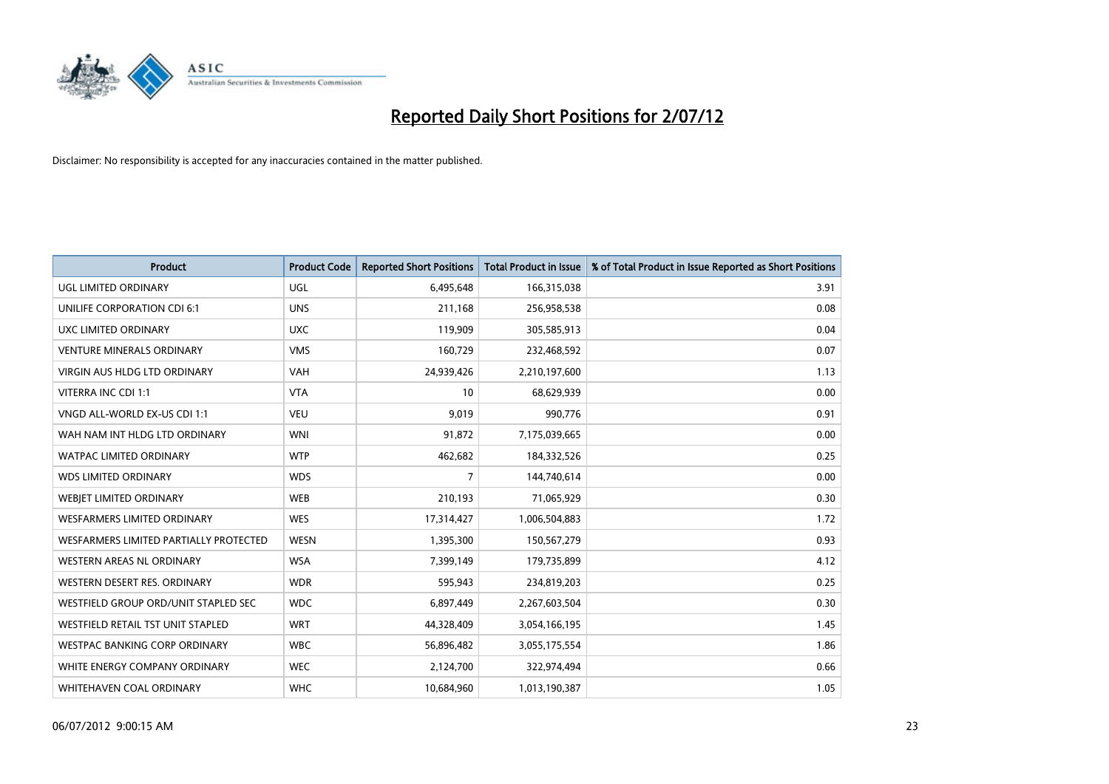

| <b>Product</b>                         | <b>Product Code</b> | <b>Reported Short Positions</b> | <b>Total Product in Issue</b> | % of Total Product in Issue Reported as Short Positions |
|----------------------------------------|---------------------|---------------------------------|-------------------------------|---------------------------------------------------------|
| UGL LIMITED ORDINARY                   | <b>UGL</b>          | 6,495,648                       | 166,315,038                   | 3.91                                                    |
| UNILIFE CORPORATION CDI 6:1            | <b>UNS</b>          | 211,168                         | 256,958,538                   | 0.08                                                    |
| UXC LIMITED ORDINARY                   | <b>UXC</b>          | 119,909                         | 305,585,913                   | 0.04                                                    |
| <b>VENTURE MINERALS ORDINARY</b>       | <b>VMS</b>          | 160,729                         | 232,468,592                   | 0.07                                                    |
| <b>VIRGIN AUS HLDG LTD ORDINARY</b>    | <b>VAH</b>          | 24,939,426                      | 2,210,197,600                 | 1.13                                                    |
| VITERRA INC CDI 1:1                    | <b>VTA</b>          | 10                              | 68,629,939                    | 0.00                                                    |
| VNGD ALL-WORLD EX-US CDI 1:1           | <b>VEU</b>          | 9,019                           | 990,776                       | 0.91                                                    |
| WAH NAM INT HLDG LTD ORDINARY          | <b>WNI</b>          | 91,872                          | 7,175,039,665                 | 0.00                                                    |
| <b>WATPAC LIMITED ORDINARY</b>         | <b>WTP</b>          | 462,682                         | 184,332,526                   | 0.25                                                    |
| <b>WDS LIMITED ORDINARY</b>            | <b>WDS</b>          | $\overline{7}$                  | 144,740,614                   | 0.00                                                    |
| WEBIET LIMITED ORDINARY                | WEB                 | 210,193                         | 71,065,929                    | 0.30                                                    |
| <b>WESFARMERS LIMITED ORDINARY</b>     | <b>WES</b>          | 17,314,427                      | 1,006,504,883                 | 1.72                                                    |
| WESFARMERS LIMITED PARTIALLY PROTECTED | <b>WESN</b>         | 1,395,300                       | 150,567,279                   | 0.93                                                    |
| <b>WESTERN AREAS NL ORDINARY</b>       | <b>WSA</b>          | 7,399,149                       | 179,735,899                   | 4.12                                                    |
| WESTERN DESERT RES. ORDINARY           | <b>WDR</b>          | 595,943                         | 234,819,203                   | 0.25                                                    |
| WESTFIELD GROUP ORD/UNIT STAPLED SEC   | <b>WDC</b>          | 6,897,449                       | 2,267,603,504                 | 0.30                                                    |
| WESTFIELD RETAIL TST UNIT STAPLED      | <b>WRT</b>          | 44,328,409                      | 3,054,166,195                 | 1.45                                                    |
| WESTPAC BANKING CORP ORDINARY          | <b>WBC</b>          | 56,896,482                      | 3,055,175,554                 | 1.86                                                    |
| WHITE ENERGY COMPANY ORDINARY          | <b>WEC</b>          | 2,124,700                       | 322,974,494                   | 0.66                                                    |
| WHITEHAVEN COAL ORDINARY               | <b>WHC</b>          | 10,684,960                      | 1,013,190,387                 | 1.05                                                    |